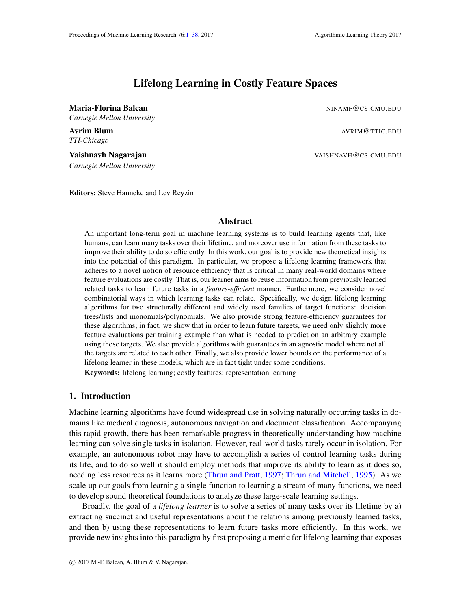# Lifelong Learning in Costly Feature Spaces

<span id="page-0-0"></span>**Maria-Florina Balcan** NINAME@CS.CMU.EDU *Carnegie Mellon University*

**Avrim Blum** Avround Avround Avround Avround Avround Avround Avround Avround Avround Avround Avround Avround Avr *TTI-Chicago*

Vaishnavh Nagarajan Vallaman Vallaman Vallaman Vallaman Vallaman Vallaman Vallaman Vallaman Vallaman Vallaman V *Carnegie Mellon University*

Editors: Steve Hanneke and Lev Reyzin

# Abstract

An important long-term goal in machine learning systems is to build learning agents that, like humans, can learn many tasks over their lifetime, and moreover use information from these tasks to improve their ability to do so efficiently. In this work, our goal is to provide new theoretical insights into the potential of this paradigm. In particular, we propose a lifelong learning framework that adheres to a novel notion of resource efficiency that is critical in many real-world domains where feature evaluations are costly. That is, our learner aims to reuse information from previously learned related tasks to learn future tasks in a *feature-efficient* manner. Furthermore, we consider novel combinatorial ways in which learning tasks can relate. Specifically, we design lifelong learning algorithms for two structurally different and widely used families of target functions: decision trees/lists and monomials/polynomials. We also provide strong feature-efficiency guarantees for these algorithms; in fact, we show that in order to learn future targets, we need only slightly more feature evaluations per training example than what is needed to predict on an arbitrary example using those targets. We also provide algorithms with guarantees in an agnostic model where not all the targets are related to each other. Finally, we also provide lower bounds on the performance of a lifelong learner in these models, which are in fact tight under some conditions.

Keywords: lifelong learning; costly features; representation learning

# 1. Introduction

Machine learning algorithms have found widespread use in solving naturally occurring tasks in domains like medical diagnosis, autonomous navigation and document classification. Accompanying this rapid growth, there has been remarkable progress in theoretically understanding how machine learning can solve single tasks in isolation. However, real-world tasks rarely occur in isolation. For example, an autonomous robot may have to accomplish a series of control learning tasks during its life, and to do so well it should employ methods that improve its ability to learn as it does so, needing less resources as it learns more [\(Thrun and Pratt,](#page-13-0) [1997;](#page-13-0) [Thrun and Mitchell,](#page-13-1) [1995\)](#page-13-1). As we scale up our goals from learning a single function to learning a stream of many functions, we need to develop sound theoretical foundations to analyze these large-scale learning settings.

Broadly, the goal of a *lifelong learner* is to solve a series of many tasks over its lifetime by a) extracting succinct and useful representations about the relations among previously learned tasks, and then b) using these representations to learn future tasks more efficiently. In this work, we provide new insights into this paradigm by first proposing a metric for lifelong learning that exposes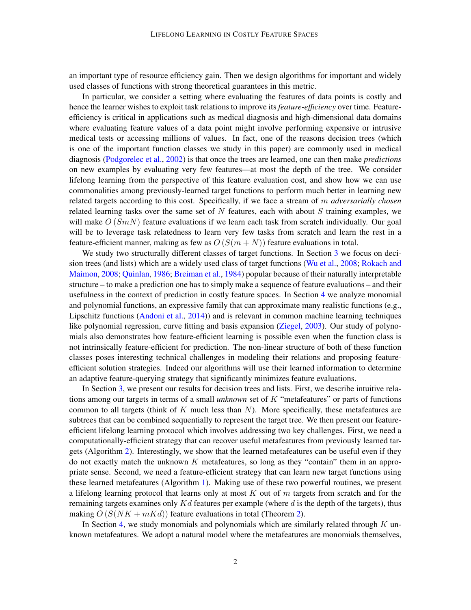an important type of resource efficiency gain. Then we design algorithms for important and widely used classes of functions with strong theoretical guarantees in this metric.

In particular, we consider a setting where evaluating the features of data points is costly and hence the learner wishes to exploit task relations to improve its *feature-efficiency* over time. Featureefficiency is critical in applications such as medical diagnosis and high-dimensional data domains where evaluating feature values of a data point might involve performing expensive or intrusive medical tests or accessing millions of values. In fact, one of the reasons decision trees (which is one of the important function classes we study in this paper) are commonly used in medical diagnosis [\(Podgorelec et al.,](#page-13-2) [2002\)](#page-13-2) is that once the trees are learned, one can then make *predictions* on new examples by evaluating very few features—at most the depth of the tree. We consider lifelong learning from the perspective of this feature evaluation cost, and show how we can use commonalities among previously-learned target functions to perform much better in learning new related targets according to this cost. Specifically, if we face a stream of m *adversarially chosen* related learning tasks over the same set of  $N$  features, each with about  $S$  training examples, we will make  $O(Sm)$  feature evaluations if we learn each task from scratch individually. Our goal will be to leverage task relatedness to learn very few tasks from scratch and learn the rest in a feature-efficient manner, making as few as  $O(S(m+N))$  feature evaluations in total.

We study two structurally different classes of target functions. In Section [3](#page-3-0) we focus on decision trees (and lists) which are a widely used class of target functions [\(Wu et al.,](#page-13-3) [2008;](#page-13-3) [Rokach and](#page-13-4) [Maimon,](#page-13-4) [2008;](#page-13-4) [Quinlan,](#page-13-5) [1986;](#page-13-5) [Breiman et al.,](#page-12-0) [1984\)](#page-12-0) popular because of their naturally interpretable structure – to make a prediction one has to simply make a sequence of feature evaluations – and their usefulness in the context of prediction in costly feature spaces. In Section [4](#page-8-0) we analyze monomial and polynomial functions, an expressive family that can approximate many realistic functions (e.g., Lipschitz functions [\(Andoni et al.,](#page-12-1) [2014\)](#page-12-1)) and is relevant in common machine learning techniques like polynomial regression, curve fitting and basis expansion [\(Ziegel,](#page-14-0) [2003\)](#page-14-0). Our study of polynomials also demonstrates how feature-efficient learning is possible even when the function class is not intrinsically feature-efficient for prediction. The non-linear structure of both of these function classes poses interesting technical challenges in modeling their relations and proposing featureefficient solution strategies. Indeed our algorithms will use their learned information to determine an adaptive feature-querying strategy that significantly minimizes feature evaluations.

In Section [3,](#page-3-0) we present our results for decision trees and lists. First, we describe intuitive relations among our targets in terms of a small *unknown* set of K "metafeatures" or parts of functions common to all targets (think of  $K$  much less than  $N$ ). More specifically, these metafeatures are subtrees that can be combined sequentially to represent the target tree. We then present our featureefficient lifelong learning protocol which involves addressing two key challenges. First, we need a computationally-efficient strategy that can recover useful metafeatures from previously learned targets (Algorithm [2\)](#page-7-0). Interestingly, we show that the learned metafeatures can be useful even if they do not exactly match the unknown  $K$  metafeatures, so long as they "contain" them in an appropriate sense. Second, we need a feature-efficient strategy that can learn new target functions using these learned metafeatures (Algorithm [1\)](#page-6-0). Making use of these two powerful routines, we present a lifelong learning protocol that learns only at most  $K$  out of  $m$  targets from scratch and for the remaining targets examines only  $Kd$  features per example (where  $d$  is the depth of the targets), thus making  $O(S(NK + mKd))$  feature evaluations in total (Theorem [2\)](#page-5-0).

In Section [4,](#page-8-0) we study monomials and polynomials which are similarly related through  $K$  unknown metafeatures. We adopt a natural model where the metafeatures are monomials themselves,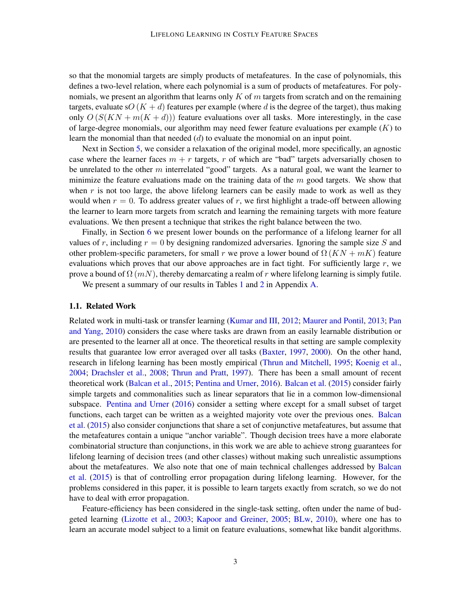so that the monomial targets are simply products of metafeatures. In the case of polynomials, this defines a two-level relation, where each polynomial is a sum of products of metafeatures. For polynomials, we present an algorithm that learns only  $K$  of  $m$  targets from scratch and on the remaining targets, evaluate sO  $(K + d)$  features per example (where d is the degree of the target), thus making only  $O(S(KN + m(K + d)))$  feature evaluations over all tasks. More interestingly, in the case of large-degree monomials, our algorithm may need fewer feature evaluations per example  $(K)$  to learn the monomial than that needed  $(d)$  to evaluate the monomial on an input point.

Next in Section [5,](#page-10-0) we consider a relaxation of the original model, more specifically, an agnostic case where the learner faces  $m + r$  targets, r of which are "bad" targets adversarially chosen to be unrelated to the other m interrelated "good" targets. As a natural goal, we want the learner to minimize the feature evaluations made on the training data of the  $m$  good targets. We show that when  $r$  is not too large, the above lifelong learners can be easily made to work as well as they would when  $r = 0$ . To address greater values of r, we first highlight a trade-off between allowing the learner to learn more targets from scratch and learning the remaining targets with more feature evaluations. We then present a technique that strikes the right balance between the two.

Finally, in Section [6](#page-11-0) we present lower bounds on the performance of a lifelong learner for all values of r, including  $r = 0$  by designing randomized adversaries. Ignoring the sample size S and other problem-specific parameters, for small r we prove a lower bound of  $\Omega(KN + mK)$  feature evaluations which proves that our above approaches are in fact tight. For sufficiently large  $r$ , we prove a bound of  $\Omega$  (*mN*), thereby demarcating a realm of r where lifelong learning is simply futile.

We present a summary of our results in Tables [1](#page-14-1) and [2](#page-14-2) in Appendix [A.](#page-14-3)

### 1.1. Related Work

Related work in multi-task or transfer learning [\(Kumar and III,](#page-13-6) [2012;](#page-13-6) [Maurer and Pontil,](#page-13-7) [2013;](#page-13-7) [Pan](#page-13-8) [and Yang,](#page-13-8) [2010\)](#page-13-8) considers the case where tasks are drawn from an easily learnable distribution or are presented to the learner all at once. The theoretical results in that setting are sample complexity results that guarantee low error averaged over all tasks [\(Baxter,](#page-12-2) [1997,](#page-12-2) [2000\)](#page-12-3). On the other hand, research in lifelong learning has been mostly empirical [\(Thrun and Mitchell,](#page-13-1) [1995;](#page-13-1) [Koenig et al.,](#page-13-9) [2004;](#page-13-9) [Drachsler et al.,](#page-12-4) [2008;](#page-12-4) [Thrun and Pratt,](#page-13-0) [1997\)](#page-13-0). There has been a small amount of recent theoretical work [\(Balcan et al.,](#page-12-5) [2015;](#page-12-5) [Pentina and Urner,](#page-13-10) [2016\)](#page-13-10). [Balcan et al.](#page-12-5) [\(2015\)](#page-12-5) consider fairly simple targets and commonalities such as linear separators that lie in a common low-dimensional subspace. [Pentina and Urner](#page-13-10) [\(2016\)](#page-13-10) consider a setting where except for a small subset of target functions, each target can be written as a weighted majority vote over the previous ones. [Balcan](#page-12-5) [et al.](#page-12-5) [\(2015\)](#page-12-5) also consider conjunctions that share a set of conjunctive metafeatures, but assume that the metafeatures contain a unique "anchor variable". Though decision trees have a more elaborate combinatorial structure than conjunctions, in this work we are able to achieve strong guarantees for lifelong learning of decision trees (and other classes) without making such unrealistic assumptions about the metafeatures. We also note that one of main technical challenges addressed by [Balcan](#page-12-5) [et al.](#page-12-5) [\(2015\)](#page-12-5) is that of controlling error propagation during lifelong learning. However, for the problems considered in this paper, it is possible to learn targets exactly from scratch, so we do not have to deal with error propagation.

Feature-efficiency has been considered in the single-task setting, often under the name of budgeted learning [\(Lizotte et al.,](#page-13-11) [2003;](#page-13-11) [Kapoor and Greiner,](#page-13-12) [2005;](#page-13-12) [BLw,](#page-12-6) [2010\)](#page-12-6), where one has to learn an accurate model subject to a limit on feature evaluations, somewhat like bandit algorithms.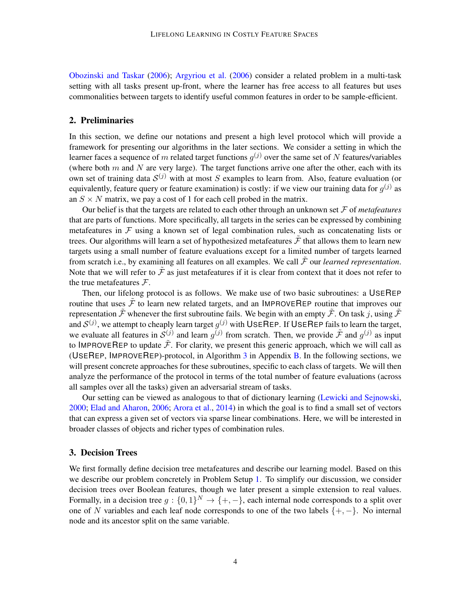[Obozinski and Taskar](#page-13-13) [\(2006\)](#page-13-13); [Argyriou et al.](#page-12-7) [\(2006\)](#page-12-7) consider a related problem in a multi-task setting with all tasks present up-front, where the learner has free access to all features but uses commonalities between targets to identify useful common features in order to be sample-efficient.

### 2. Preliminaries

In this section, we define our notations and present a high level protocol which will provide a framework for presenting our algorithms in the later sections. We consider a setting in which the learner faces a sequence of m related target functions  $g^{(j)}$  over the same set of N features/variables (where both  $m$  and  $N$  are very large). The target functions arrive one after the other, each with its own set of training data  $S^{(j)}$  with at most S examples to learn from. Also, feature evaluation (or equivalently, feature query or feature examination) is costly: if we view our training data for  $g^{(j)}$  as an  $S \times N$  matrix, we pay a cost of 1 for each cell probed in the matrix.

Our belief is that the targets are related to each other through an unknown set F of *metafeatures* that are parts of functions. More specifically, all targets in the series can be expressed by combining metafeatures in  $\mathcal F$  using a known set of legal combination rules, such as concatenating lists or trees. Our algorithms will learn a set of hypothesized metafeatures  $\ddot{\mathcal{F}}$  that allows them to learn new targets using a small number of feature evaluations except for a limited number of targets learned from scratch i.e., by examining all features on all examples. We call  $\tilde{\mathcal{F}}$  our *learned representation*. Note that we will refer to  $\tilde{\mathcal{F}}$  as just metafeatures if it is clear from context that it does not refer to the true metafeatures  $\mathcal{F}$ .

Then, our lifelong protocol is as follows. We make use of two basic subroutines: a USEREP routine that uses  $\tilde{\mathcal{F}}$  to learn new related targets, and an IMPROVEREP routine that improves our representation  $\tilde{\mathcal{F}}$  whenever the first subroutine fails. We begin with an empty  $\tilde{\mathcal{F}}$ . On task j, using  $\tilde{\mathcal{F}}$ and  $S^{(j)}$ , we attempt to cheaply learn target  $g^{(j)}$  with USEREP. If USEREP fails to learn the target, we evaluate all features in  $\mathcal{S}^{(j)}$  and learn  $g^{(j)}$  from scratch. Then, we provide  $\tilde{\mathcal{F}}$  and  $g^{(j)}$  as input to IMPROVEREP to update  $\tilde{\mathcal{F}}$ . For clarity, we present this generic approach, which we will call as (USEREP, IMPROVEREP)-protocol, in Algorithm [3](#page-15-0) in Appendix [B.](#page-14-4) In the following sections, we will present concrete approaches for these subroutines, specific to each class of targets. We will then analyze the performance of the protocol in terms of the total number of feature evaluations (across all samples over all the tasks) given an adversarial stream of tasks.

Our setting can be viewed as analogous to that of dictionary learning [\(Lewicki and Sejnowski,](#page-13-14) [2000;](#page-13-14) [Elad and Aharon,](#page-12-8) [2006;](#page-12-8) [Arora et al.,](#page-12-9) [2014\)](#page-12-9) in which the goal is to find a small set of vectors that can express a given set of vectors via sparse linear combinations. Here, we will be interested in broader classes of objects and richer types of combination rules.

### <span id="page-3-0"></span>3. Decision Trees

We first formally define decision tree metafeatures and describe our learning model. Based on this we describe our problem concretely in Problem Setup [1.](#page-4-0) To simplify our discussion, we consider decision trees over Boolean features, though we later present a simple extension to real values. Formally, in a decision tree  $g: \{0,1\}^N \to \{+,-\}$ , each internal node corresponds to a split over one of N variables and each leaf node corresponds to one of the two labels  $\{+, -\}$ . No internal node and its ancestor split on the same variable.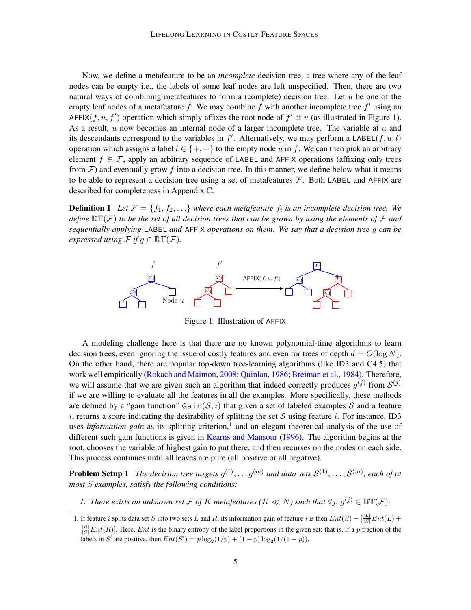Now, we define a metafeature to be an *incomplete* decision tree, a tree where any of the leaf nodes can be empty i.e., the labels of some leaf nodes are left unspecified. Then, there are two natural ways of combining metafeatures to form a (complete) decision tree. Let  $u$  be one of the empty leaf nodes of a metafeature f. We may combine f with another incomplete tree  $f'$  using an AFFIX $(f, u, f')$  operation which simply affixes the root node of  $f'$  at u (as illustrated in Figure [1\)](#page-4-1). As a result,  $u$  now becomes an internal node of a larger incomplete tree. The variable at  $u$  and its descendants correspond to the variables in  $f'$ . Alternatively, we may perform a LABEL $(f, u, l)$ operation which assigns a label  $l \in \{+, -\}$  to the empty node u in f. We can then pick an arbitrary element  $f \in \mathcal{F}$ , apply an arbitrary sequence of LABEL and AFFIX operations (affixing only trees from  $\mathcal F$ ) and eventually grow f into a decision tree. In this manner, we define below what it means to be able to represent a decision tree using a set of metafeatures  $\mathcal{F}$ . Both LABEL and AFFIX are described for completeness in Appendix [C.](#page-15-1)

**Definition 1** Let  $\mathcal{F} = \{f_1, f_2, \ldots\}$  where each metafeature  $f_i$  is an incomplete decision tree. We *define*  $DT(F)$  *to be the set of all decision trees that can be grown by using the elements of* F *and sequentially applying* LABEL *and* AFFIX *operations on them. We say that a decision tree* g *can be expressed using*  $\mathcal{F}$  *if*  $q \in \mathbb{DT}(\mathcal{F})$ *.* 

<span id="page-4-1"></span>

<span id="page-4-0"></span>Figure 1: Illustration of AFFIX

A modeling challenge here is that there are no known polynomial-time algorithms to learn decision trees, even ignoring the issue of costly features and even for trees of depth  $d = O(\log N)$ . On the other hand, there are popular top-down tree-learning algorithms (like ID3 and C4.5) that work well empirically [\(Rokach and Maimon,](#page-13-4) [2008;](#page-13-4) [Quinlan,](#page-13-5) [1986;](#page-13-5) [Breiman et al.,](#page-12-0) [1984\)](#page-12-0). Therefore, we will assume that we are given such an algorithm that indeed correctly produces  $g^{(j)}$  from  $\mathcal{S}^{(j)}$ if we are willing to evaluate all the features in all the examples. More specifically, these methods are defined by a "gain function"  $\text{Gain}(\mathcal{S}, i)$  that given a set of labeled examples S and a feature i, returns a score indicating the desirability of splitting the set S using feature i. For instance, ID3 uses *information gain* as its splitting criterion,<sup>[1](#page-4-2)</sup> and an elegant theoretical analysis of the use of different such gain functions is given in [Kearns and Mansour](#page-13-15) [\(1996\)](#page-13-15). The algorithm begins at the root, chooses the variable of highest gain to put there, and then recurses on the nodes on each side. This process continues until all leaves are pure (all positive or all negative).

**Problem Setup 1** The decision tree targets  $g^{(1)}, \ldots g^{(m)}$  and data sets  $\mathcal{S}^{(1)}, \ldots, \mathcal{S}^{(m)}$ , each of at *most* S *examples, satisfy the following conditions:*

*1. There exists an unknown set*  $\mathcal F$  *of*  $K$  *metafeatures* ( $K \ll N$ ) such that  $\forall j, g^{(j)} \in \mathbb{DT}(\mathcal F)$ *.* 

<span id="page-4-2"></span><sup>1.</sup> If feature i splits data set S into two sets L and R, its information gain of feature i is then  $Ent(S) - \left[\frac{|L|}{|S|} Ent(L) + \right]$  $\frac{|R|}{|S|} Ent(R)$ . Here, *Ent* is the binary entropy of the label proportions in the given set; that is, if a p fraction of the labels in S' are positive, then  $Ent(S') = p \log_2(1/p) + (1 - p) \log_2(1/(1 - p)).$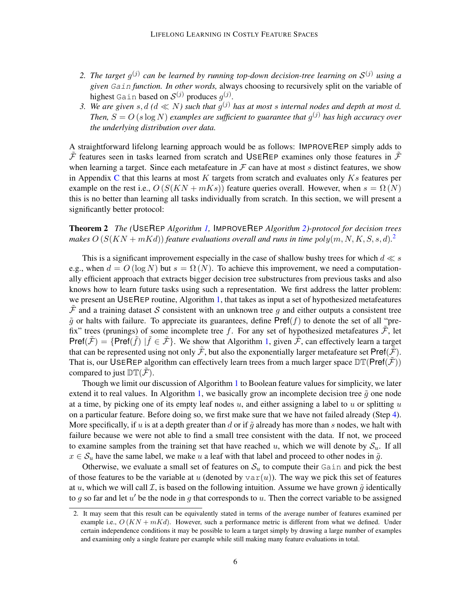- 2. The target  $g^{(j)}$  can be learned by running top-down decision-tree learning on  $\mathcal{S}^{(j)}$  using a *given* Gain *function. In other words,* always choosing to recursively split on the variable of highest Gain based on  $\mathcal{S}^{(j)}$  produces  $g^{(j)}$ .
- 3. We are given  $s, d$  ( $d \ll N$ ) such that  $g^{(j)}$  has at most  $s$  internal nodes and depth at most  $d$ . *Then,*  $S = O(s \log N)$  examples are sufficient to guarantee that  $g^{(j)}$  has high accuracy over *the underlying distribution over data.*

A straightforward lifelong learning approach would be as follows: IMPROVEREP simply adds to  $\tilde{\mathcal{F}}$  features seen in tasks learned from scratch and USEREP examines only those features in  $\tilde{\mathcal{F}}$ when learning a target. Since each metafeature in  $\mathcal F$  can have at most s distinct features, we show in Appendix [C](#page-15-1) that this learns at most  $K$  targets from scratch and evaluates only  $Ks$  features per example on the rest i.e.,  $O(S(KN + mKs))$  feature queries overall. However, when  $s = \Omega(N)$ this is no better than learning all tasks individually from scratch. In this section, we will present a significantly better protocol:

<span id="page-5-0"></span>Theorem 2 *The (*USEREP *Algorithm [1,](#page-6-0)* IMPROVEREP *Algorithm [2\)](#page-7-0)-protocol for decision trees makes*  $O(S(KN + mKd))$  *feature evaluations overall and runs in time*  $poly(m, N, K, S, s, d)$ *.*<sup>[2](#page-5-1)</sup>

This is a significant improvement especially in the case of shallow bushy trees for which  $d \ll s$ e.g., when  $d = O(\log N)$  but  $s = \Omega(N)$ . To achieve this improvement, we need a computationally efficient approach that extracts bigger decision tree substructures from previous tasks and also knows how to learn future tasks using such a representation. We first address the latter problem: we present an USEREP routine, Algorithm [1,](#page-6-0) that takes as input a set of hypothesized metafeatures  $\mathcal F$  and a training dataset S consistent with an unknown tree q and either outputs a consistent tree  $\tilde{g}$  or halts with failure. To appreciate its guarantees, define Pref(f) to denote the set of all "prefix" trees (prunings) of some incomplete tree f. For any set of hypothesized metafeatures  $\tilde{\mathcal{F}}$ , let  $\mathsf{Pref}(\tilde{\mathcal{F}}) = \{ \mathsf{Pref}(\tilde{f}) \mid \tilde{f} \in \tilde{\mathcal{F}} \}$ . We show that Algorithm [1,](#page-6-0) given  $\tilde{\tilde{\mathcal{F}}}$ , can effectively learn a target that can be represented using not only  $\tilde{\mathcal{F}}$ , but also the exponentially larger metafeature set Pref( $\tilde{\mathcal{F}}$ ). That is, our USEREP algorithm can effectively learn trees from a much larger space  $DT(Pref(\tilde{\mathcal{F}}))$ compared to just  $DT(\mathcal{F})$ .

Though we limit our discussion of Algorithm [1](#page-6-0) to Boolean feature values for simplicity, we later extend it to real values. In Algorithm [1,](#page-6-0) we basically grow an incomplete decision tree  $\tilde{q}$  one node at a time, by picking one of its empty leaf nodes  $u$ , and either assigning a label to  $u$  or splitting  $u$ on a particular feature. Before doing so, we first make sure that we have not failed already (Step [4\)](#page-6-1). More specifically, if u is at a depth greater than d or if  $\tilde{q}$  already has more than s nodes, we halt with failure because we were not able to find a small tree consistent with the data. If not, we proceed to examine samples from the training set that have reached u, which we will denote by  $S_u$ . If all  $x \in S_u$  have the same label, we make u a leaf with that label and proceed to other nodes in  $\tilde{g}$ .

Otherwise, we evaluate a small set of features on  $S_u$  to compute their Gain and pick the best of those features to be the variable at u (denoted by  $var(u)$ ). The way we pick this set of features at u, which we will call  $\mathcal I$ , is based on the following intuition. Assume we have grown  $\tilde g$  identically to g so far and let  $u'$  be the node in g that corresponds to u. Then the correct variable to be assigned

<span id="page-5-1"></span><sup>2.</sup> It may seem that this result can be equivalently stated in terms of the average number of features examined per example i.e.,  $O(KN + mKd)$ . However, such a performance metric is different from what we defined. Under certain independence conditions it may be possible to learn a target simply by drawing a large number of examples and examining only a single feature per example while still making many feature evaluations in total.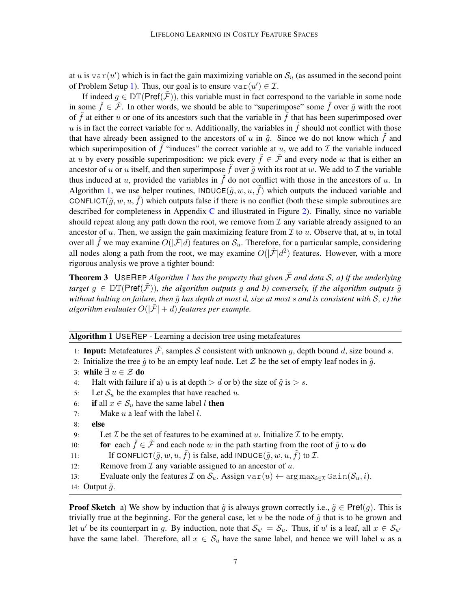at u is  $var(u')$  which is in fact the gain maximizing variable on  $\mathcal{S}_u$  (as assumed in the second point of Problem Setup [1\)](#page-4-0). Thus, our goal is to ensure  $\forall \text{ar}(u') \in \mathcal{I}$ .

If indeed  $g \in \mathbb{DT}(\mathsf{Pref}(\mathcal{F}))$ , this variable must in fact correspond to the variable in some node in some  $\tilde{f} \in \tilde{\mathcal{F}}$ . In other words, we should be able to "superimpose" some  $\tilde{f}$  over  $\tilde{q}$  with the root of  $\tilde{f}$  at either u or one of its ancestors such that the variable in  $\tilde{f}$  that has been superimposed over u is in fact the correct variable for u. Additionally, the variables in  $\tilde{f}$  should not conflict with those that have already been assigned to the ancestors of u in  $\tilde{g}$ . Since we do not know which f and which superimposition of  $\tilde{f}$  "induces" the correct variable at u, we add to  $\mathcal I$  the variable induced at u by every possible superimposition: we pick every  $\tilde{f} \in \tilde{\mathcal{F}}$  and every node w that is either an ancestor of u or u itself, and then superimpose  $\tilde{f}$  over  $\tilde{g}$  with its root at w. We add to  $\mathcal I$  the variable thus induced at  $u$ , provided the variables in  $f$  do not conflict with those in the ancestors of  $u$ . In Algorithm [1,](#page-6-0) we use helper routines, INDUCE $(\tilde{q}, w, u, \tilde{f})$  which outputs the induced variable and CONFLICT( $\tilde{q}$ , w, u, f) which outputs false if there is no conflict (both these simple subroutines are described for completeness in Appendix [C](#page-15-1) and illustrated in Figure [2\)](#page-8-1). Finally, since no variable should repeat along any path down the root, we remove from  $\mathcal I$  any variable already assigned to an ancestor of u. Then, we assign the gain maximizing feature from  $\mathcal I$  to u. Observe that, at u, in total over all  $\tilde{f}$  we may examine  $O(|\tilde{F}|d)$  features on  $\mathcal{S}_u$ . Therefore, for a particular sample, considering all nodes along a path from the root, we may examine  $O(|\tilde{\mathcal{F}}|d^2)$  features. However, with a more rigorous analysis we prove a tighter bound:

<span id="page-6-5"></span>**Theorem 3** USEREP *Algorithm [1](#page-6-0) has the property that given*  $\tilde{\mathcal{F}}$  *and data*  $\mathcal{S}$ *, a) if the underlying target*  $g \in \mathbb{DT}(\mathsf{Pref}(\tilde{\mathcal{F}}))$ , the algorithm outputs g and b) conversely, if the algorithm outputs  $\tilde{g}$ *without halting on failure, then*  $\tilde{g}$  *has depth at most d, size at most s and is consistent with*  $S$ *, c) the algorithm evaluates*  $O(|\mathcal{F}| + d)$  *features per example.* 

### <span id="page-6-0"></span>Algorithm 1 USEREP - Learning a decision tree using metafeatures

- 1: Input: Metafeatures  $\tilde{\mathcal{F}}$ , samples S consistent with unknown g, depth bound d, size bound s.
- <span id="page-6-6"></span>2: Initialize the tree  $\tilde{q}$  to be an empty leaf node. Let  $\mathcal Z$  be the set of empty leaf nodes in  $\tilde{q}$ .
- 3: while  $∃ u ∈ Z$  do
- <span id="page-6-1"></span>4: Halt with failure if a) u is at depth  $> d$  or b) the size of  $\tilde{g}$  is  $> s$ .
- <span id="page-6-4"></span>5: Let  $S_u$  be the examples that have reached u.
- 6: if all  $x \in S_u$  have the same label l then
- 7: Make  $u$  a leaf with the label  $l$ .
- 8: else
- <span id="page-6-2"></span>9: Let  $\mathcal I$  be the set of features to be examined at u. Initialize  $\mathcal I$  to be empty.
- 10: **for** each  $\tilde{f} \in \tilde{\mathcal{F}}$  and each node w in the path starting from the root of  $\tilde{g}$  to u **do**
- <span id="page-6-3"></span>11: If CONFLICT $(\tilde{g}, w, u, \tilde{f})$  is false, add INDUCE $(\tilde{g}, w, u, \tilde{f})$  to  $\mathcal{I}$ .
- <span id="page-6-7"></span>12: Remove from  $\mathcal I$  any variable assigned to an ancestor of  $u$ .
- 13: Evaluate only the features  $\mathcal I$  on  $\mathcal S_u$ . Assign var $(u) \leftarrow \arg \max_{i \in \mathcal I} \text{Gain}(\mathcal S_u, i)$ .
- 14: Output  $\tilde{g}$ .

**Proof Sketch** a) We show by induction that  $\tilde{g}$  is always grown correctly i.e.,  $\tilde{g} \in \text{Pref}(g)$ . This is trivially true at the beginning. For the general case, let u be the node of  $\tilde{g}$  that is to be grown and let u' be its counterpart in g. By induction, note that  $S_{u'} = S_u$ . Thus, if u' is a leaf, all  $x \in S_{u'}$ have the same label. Therefore, all  $x \in S_u$  have the same label, and hence we will label u as a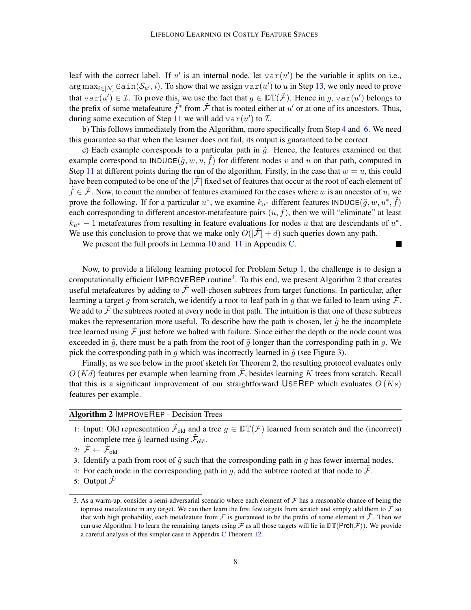leaf with the correct label. If u' is an internal node, let  $var(u')$  be the variable it splits on i.e.,  $\argmax_{i \in [N]}$  Gain $(\mathcal{S}_{u'}, i)$ . To show that we assign  $\text{var}(u')$  to  $u$  in Step [13,](#page-6-2) we only need to prove that  $var(u') \in \mathcal{I}$ . To prove this, we use the fact that  $g \in \mathbb{DT}(\tilde{\mathcal{F}})$ . Hence in g,  $var(u')$  belongs to the prefix of some metafeature  $\tilde{f}^*$  from  $\tilde{\mathcal{F}}$  that is rooted either at  $u'$  or at one of its ancestors. Thus, during some execution of Step [11](#page-6-3) we will add  $var(u')$  to  $\mathcal{I}$ .

b) This follows immediately from the Algorithm, more specifically from Step [4](#page-6-1) and [6.](#page-6-4) We need this guarantee so that when the learner does not fail, its output is guaranteed to be correct.

c) Each example corresponds to a particular path in  $\tilde{q}$ . Hence, the features examined on that example correspond to INDUCE $(\tilde{g}, w, u, f)$  for different nodes v and u on that path, computed in Step [11](#page-6-3) at different points during the run of the algorithm. Firstly, in the case that  $w = u$ , this could have been computed to be one of the  $|\mathcal{F}|$  fixed set of features that occur at the root of each element of  $f \in \mathcal{F}$ . Now, to count the number of features examined for the cases where w is an ancestor of u, we prove the following. If for a particular  $u^*$ , we examine  $k_{u^*}$  different features INDUCE $(\tilde{g}, w, u^*, \tilde{f})$ each corresponding to different ancestor-metafeature pairs  $(u, \tilde{f})$ , then we will "eliminate" at least  $k_{u^*} - 1$  metafeatures from resulting in feature evaluations for nodes u that are descendants of  $u^*$ . We use this conclusion to prove that we make only  $O(|\tilde{\mathcal{F}}| + d)$  such queries down any path.

 $\blacksquare$ 

We present the full proofs in Lemma [10](#page-16-0) and [11](#page-16-1) in Appendix [C.](#page-15-1)

Now, to provide a lifelong learning protocol for Problem Setup [1,](#page-4-0) the challenge is to design a computationally efficient IMPROVEREP routine<sup>[3](#page-7-1)</sup>. To this end, we present Algorithm [2](#page-7-0) that creates useful metafeatures by adding to  $\tilde{\mathcal{F}}$  well-chosen subtrees from target functions. In particular, after learning a target g from scratch, we identify a root-to-leaf path in g that we failed to learn using  $\tilde{\mathcal{F}}$ . We add to  $\tilde{\mathcal{F}}$  the subtrees rooted at every node in that path. The intuition is that one of these subtrees makes the representation more useful. To describe how the path is chosen, let  $\tilde{g}$  be the incomplete tree learned using  $\tilde{\mathcal{F}}$  just before we halted with failure. Since either the depth or the node count was exceeded in  $\tilde{g}$ , there must be a path from the root of  $\tilde{g}$  longer than the corresponding path in g. We pick the corresponding path in q which was incorrectly learned in  $\tilde{q}$  (see Figure [3\)](#page-8-1).

Finally, as we see below in the proof sketch for Theorem [2,](#page-5-0) the resulting protocol evaluates only  $O(Kd)$  features per example when learning from  $\tilde{\mathcal{F}}$ , besides learning K trees from scratch. Recall that this is a significant improvement of our straightforward USEREP which evaluates  $O(Ks)$ features per example.

### <span id="page-7-0"></span>Algorithm 2 IMPROVEREP - Decision Trees

- 1: Input: Old representation  $\tilde{\mathcal{F}}_{old}$  and a tree  $g \in \mathbb{DT}(\mathcal{F})$  learned from scratch and the (incorrect) incomplete tree  $\tilde{g}$  learned using  $\tilde{\mathcal{F}}_{old}$ .
- 2:  $\tilde{\mathcal{F}} \leftarrow \tilde{\tilde{\mathcal{F}}}_{old}$
- 3: Identify a path from root of  $\tilde{g}$  such that the corresponding path in  $g$  has fewer internal nodes.
- 4: For each node in the corresponding path in q, add the subtree rooted at that node to  $\ddot{\mathcal{F}}$ .
- 5: Output  $\mathcal F$

<span id="page-7-1"></span><sup>3.</sup> As a warm-up, consider a semi-adversarial scenario where each element of  $F$  has a reasonable chance of being the topmost metafeature in any target. We can then learn the first few targets from scratch and simply add them to  $\tilde{\mathcal{F}}$  so that with high probability, each metafeature from  $\mathcal F$  is guaranteed to be the prefix of some element in  $\tilde{\mathcal F}$ . Then we can use Algorithm [1](#page-6-0) to learn the remaining targets using  $\mathcal F$  as all those targets will lie in  $\mathbb{DT}(\text{Pref}(\mathcal F))$ . We provide a careful analysis of this simpler case in Appendix [C](#page-15-1) Theorem [12.](#page-17-0)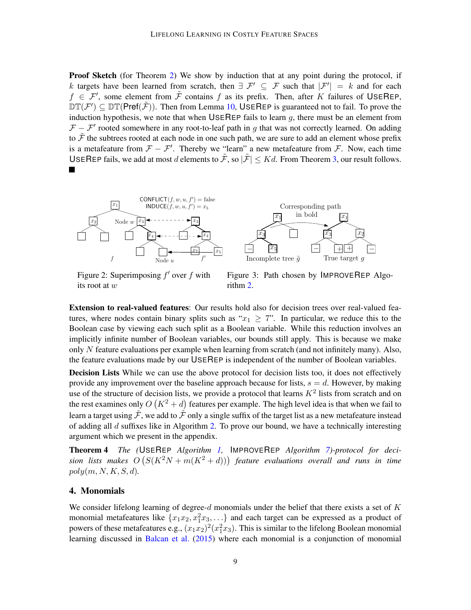**Proof Sketch** (for Theorem [2\)](#page-5-0) We show by induction that at any point during the protocol, if k targets have been learned from scratch, then  $\exists \mathcal{F}' \subseteq \mathcal{F}$  such that  $|\mathcal{F}'| = k$  and for each  $f \in \mathcal{F}'$ , some element from  $\tilde{\mathcal{F}}$  contains f as its prefix. Then, after K failures of USEREP,  $\mathbb{DT}(\mathcal{F}') \subseteq \mathbb{DT}(\mathsf{Pref}(\tilde{\mathcal{F}}))$ . Then from Lemma [10,](#page-16-0) USEREP is guaranteed not to fail. To prove the induction hypothesis, we note that when USEREP fails to learn  $q$ , there must be an element from  $\mathcal{F} - \mathcal{F}'$  rooted somewhere in any root-to-leaf path in g that was not correctly learned. On adding to  $\tilde{\mathcal{F}}$  the subtrees rooted at each node in one such path, we are sure to add an element whose prefix is a metafeature from  $\mathcal{F} - \mathcal{F}'$ . Thereby we "learn" a new metafeature from  $\mathcal{F}$ . Now, each time USEREP fails, we add at most d elements to  $\tilde{\mathcal{F}}$ , so  $|\tilde{\mathcal{F}}| \leq Kd$ . From Theorem [3,](#page-6-5) our result follows.  $\overline{\phantom{a}}$ 

<span id="page-8-1"></span>

Figure 2: Superimposing  $f'$  over  $f$  with its root at w

Figure 3: Path chosen by IMPROVEREP Algorithm [2.](#page-7-0)

Extension to real-valued features: Our results hold also for decision trees over real-valued features, where nodes contain binary splits such as " $x_1 \geq 7$ ". In particular, we reduce this to the Boolean case by viewing each such split as a Boolean variable. While this reduction involves an implicitly infinite number of Boolean variables, our bounds still apply. This is because we make only  $N$  feature evaluations per example when learning from scratch (and not infinitely many). Also, the feature evaluations made by our USEREP is independent of the number of Boolean variables.

Decision Lists While we can use the above protocol for decision lists too, it does not effectively provide any improvement over the baseline approach because for lists,  $s = d$ . However, by making use of the structure of decision lists, we provide a protocol that learns  $K^2$  lists from scratch and on the rest examines only  $O(K^2 + d)$  features per example. The high level idea is that when we fail to learn a target using  $\tilde{\mathcal{F}}$ , we add to  $\tilde{\mathcal{F}}$  only a single suffix of the target list as a new metafeature instead of adding all  $d$  suffixes like in Algorithm [2.](#page-7-0) To prove our bound, we have a technically interesting argument which we present in the appendix.

<span id="page-8-2"></span>Theorem 4 *The (*USEREP *Algorithm [1,](#page-6-0)* IMPROVEREP *Algorithm [7\)](#page-19-0)-protocol for deci*sion lists makes  $O(S(K^2N + m(K^2 + d)))$  feature evaluations overall and runs in time  $poly(m, N, K, S, d)$ .

# <span id="page-8-0"></span>4. Monomials

We consider lifelong learning of degree-d monomials under the belief that there exists a set of  $K$ monomial metafeatures like  $\{x_1x_2, x_1^2x_3, \ldots\}$  and each target can be expressed as a product of powers of these metafeatures e.g.,  $(x_1x_2)^2(x_1^2x_3)$ . This is similar to the lifelong Boolean monomial learning discussed in [Balcan et al.](#page-12-5) [\(2015\)](#page-12-5) where each monomial is a conjunction of monomial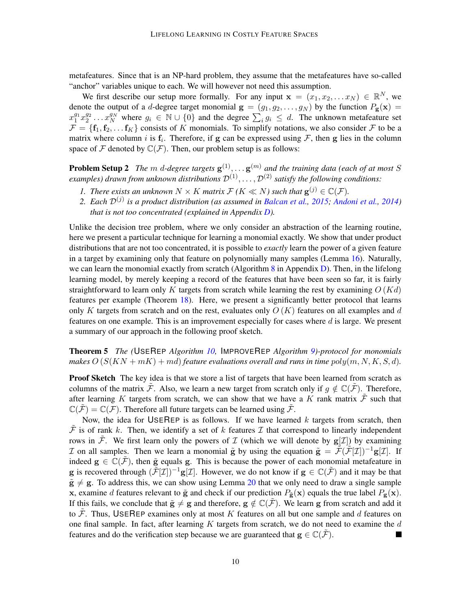metafeatures. Since that is an NP-hard problem, they assume that the metafeatures have so-called "anchor" variables unique to each. We will however not need this assumption.

We first describe our setup more formally. For any input  $\mathbf{x} = (x_1, x_2, \dots x_N) \in \mathbb{R}^N$ , we denote the output of a d-degree target monomial  $g = (g_1, g_2, \dots, g_N)$  by the function  $P_g(x) =$  $x_1^{g_1}x_2^{g_2}\ldots x_N^{g_N}$  where  $g_i \in \mathbb{N} \cup \{0\}$  and the degree  $\sum_i g_i \leq d$ . The unknown metafeature set  $\mathcal{F} = \{\mathbf{f}_1, \mathbf{f}_2, \dots, \mathbf{f}_K\}$  consists of K monomials. To simplify notations, we also consider F to be a matrix where column *i* is  $f_i$ . Therefore, if g can be expressed using F, then g lies in the column space of  $\mathcal F$  denoted by  $\mathbb C(\mathcal F)$ . Then, our problem setup is as follows:

<span id="page-9-0"></span>**Problem Setup 2** The m d-degree targets  $\mathbf{g}^{(1)}, \ldots \mathbf{g}^{(m)}$  and the training data (each of at most S examples) drawn from unknown distributions  $\mathcal{D}^{(1)}, \ldots, \mathcal{D}^{(2)}$  satisfy the following conditions:

- *1. There exists an unknown*  $N \times K$  *matrix*  $\mathcal{F}$  ( $K \ll N$ ) such that  $\mathbf{g}^{(j)} \in \mathbb{C}(\mathcal{F})$ .
- *2. Each* D(j) *is a product distribution (as assumed in [Balcan et al.,](#page-12-5) [2015;](#page-12-5) [Andoni et al.,](#page-12-1) [2014\)](#page-12-1) that is not too concentrated (explained in Appendix [D\)](#page-23-0).*

Unlike the decision tree problem, where we only consider an abstraction of the learning routine, here we present a particular technique for learning a monomial exactly. We show that under product distributions that are not too concentrated, it is possible to *exactly* learn the power of a given feature in a target by examining only that feature on polynomially many samples (Lemma [16\)](#page-26-0). Naturally, we can learn the monomial exactly from scratch (Algorithm [8](#page-25-0) in Appendix [D\)](#page-23-0). Then, in the lifelong learning model, by merely keeping a record of the features that have been seen so far, it is fairly straightforward to learn only K targets from scratch while learning the rest by examining  $O(Kd)$ features per example (Theorem [18\)](#page-27-0). Here, we present a significantly better protocol that learns only K targets from scratch and on the rest, evaluates only  $O(K)$  features on all examples and d features on one example. This is an improvement especially for cases where d is large. We present a summary of our approach in the following proof sketch.

<span id="page-9-1"></span>Theorem 5 *The (*USEREP *Algorithm [10,](#page-29-0)* IMPROVEREP *Algorithm [9\)](#page-29-1)-protocol for monomials makes*  $O(S(KN + mK) + md)$  *feature evaluations overall and runs in time*  $poly(m, N, K, S, d)$ *.* 

**Proof Sketch** The key idea is that we store a list of targets that have been learned from scratch as columns of the matrix F. Also, we learn a new target from scratch only if  $q \notin \mathbb{C}(\mathcal{F})$ . Therefore, after learning K targets from scratch, we can show that we have a K rank matrix  $\tilde{\mathcal{F}}$  such that  $\mathbb{C}(\mathcal{F}) = \mathbb{C}(\mathcal{F})$ . Therefore all future targets can be learned using  $\mathcal{F}$ .

Now, the idea for USEREP is as follows. If we have learned  $k$  targets from scratch, then  $\tilde{\mathcal{F}}$  is of rank k. Then, we identify a set of k features  $\mathcal I$  that correspond to linearly independent rows in  $\mathcal{F}$ . We first learn only the powers of  $\mathcal{I}$  (which we will denote by  $g[\mathcal{I}]$ ) by examining I on all samples. Then we learn a monomial  $\tilde{g}$  by using the equation  $\tilde{g} = \tilde{\mathcal{F}}(\tilde{\mathcal{F}}[\mathcal{I}])^{-1}g[\mathcal{I}]$ . If indeed  $g \in \mathbb{C}(\mathcal{F})$ , then  $\tilde{g}$  equals g. This is because the power of each monomial metafeature in g is recovered through  $(\mathcal{F}[\mathcal{I}])^{-1}g[\mathcal{I}]$ . However, we do not know if  $g \in \mathbb{C}(\mathcal{F})$  and it may be that  $\tilde{g} \neq g$ . To address this, we can show using Lemma [20](#page-29-2) that we only need to draw a single sample x, examine d features relevant to  $\tilde{g}$  and check if our prediction  $P_{\tilde{g}}(x)$  equals the true label  $P_{g}(x)$ . If this fails, we conclude that  $\tilde{g} \neq g$  and therefore,  $g \notin \mathbb{C}(\mathcal{F})$ . We learn g from scratch and add it to F. Thus, USEREP examines only at most K features on all but one sample and d features on one final sample. In fact, after learning  $K$  targets from scratch, we do not need to examine the  $d$ features and do the verification step because we are guaranteed that  $g \in \mathbb{C}(\mathcal{F})$ .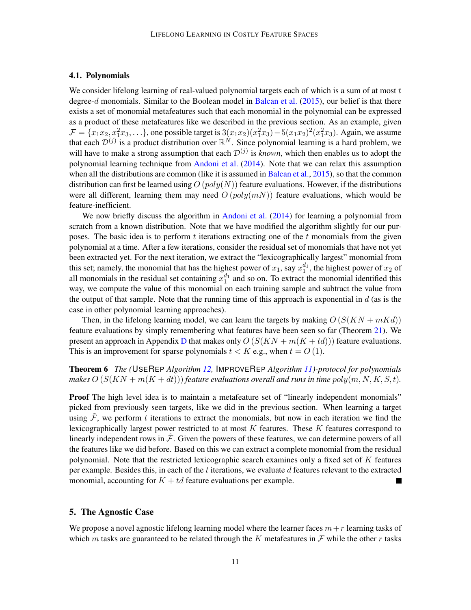### 4.1. Polynomials

We consider lifelong learning of real-valued polynomial targets each of which is a sum of at most  $t$ degree-d monomials. Similar to the Boolean model in [Balcan et al.](#page-12-5) [\(2015\)](#page-12-5), our belief is that there exists a set of monomial metafeatures such that each monomial in the polynomial can be expressed as a product of these metafeatures like we described in the previous section. As an example, given  $\mathcal{F} = \{x_1x_2, x_1^2x_3, \ldots\}$ , one possible target is  $3(x_1x_2)(x_1^2x_3) - 5(x_1x_2)^2(x_1^2x_3)$ . Again, we assume that each  $\mathcal{D}^{(j)}$  is a product distribution over  $\mathbb{R}^N$ . Since polynomial learning is a hard problem, we will have to make a strong assumption that each  $\mathcal{D}^{(j)}$  is *known*, which then enables us to adopt the polynomial learning technique from [Andoni et al.](#page-12-1) [\(2014\)](#page-12-1). Note that we can relax this assumption when all the distributions are common (like it is assumed in [Balcan et al.,](#page-12-5) [2015\)](#page-12-5), so that the common distribution can first be learned using  $O(poly(N))$  feature evaluations. However, if the distributions were all different, learning them may need  $O(poly(mN))$  feature evaluations, which would be feature-inefficient.

We now briefly discuss the algorithm in [Andoni et al.](#page-12-1) [\(2014\)](#page-12-1) for learning a polynomial from scratch from a known distribution. Note that we have modified the algorithm slightly for our purposes. The basic idea is to perform  $t$  iterations extracting one of the  $t$  monomials from the given polynomial at a time. After a few iterations, consider the residual set of monomials that have not yet been extracted yet. For the next iteration, we extract the "lexicographically largest" monomial from this set; namely, the monomial that has the highest power of  $x_1$ , say  $x_1^{d_1}$ , the highest power of  $x_2$  of all monomials in the residual set containing  $x_1^{d_1}$  and so on. To extract the monomial identified this way, we compute the value of this monomial on each training sample and subtract the value from the output of that sample. Note that the running time of this approach is exponential in  $d$  (as is the case in other polynomial learning approaches).

Then, in the lifelong learning model, we can learn the targets by making  $O(S(KN + mKd))$ feature evaluations by simply remembering what features have been seen so far (Theorem [21\)](#page-31-0). We present an approach in Appendix [D](#page-23-0) that makes only  $O(S(KN + m(K + td)))$  feature evaluations. This is an improvement for sparse polynomials  $t < K$  e.g., when  $t = O(1)$ .

<span id="page-10-1"></span>Theorem 6 *The (*USEREP *Algorithm [12,](#page-33-0)* IMPROVEREP *Algorithm [11\)](#page-32-0)-protocol for polynomials makes*  $O(S(KN + m(K + dt)))$  *feature evaluations overall and runs in time*  $poly(m, N, K, S, t)$ *.* 

**Proof** The high level idea is to maintain a metafeature set of "linearly independent monomials" picked from previously seen targets, like we did in the previous section. When learning a target using  $\mathcal F$ , we perform t iterations to extract the monomials, but now in each iteration we find the lexicographically largest power restricted to at most  $K$  features. These  $K$  features correspond to linearly independent rows in  $\tilde{\mathcal{F}}$ . Given the powers of these features, we can determine powers of all the features like we did before. Based on this we can extract a complete monomial from the residual polynomial. Note that the restricted lexicographic search examines only a fixed set of  $K$  features per example. Besides this, in each of the  $t$  iterations, we evaluate  $d$  features relevant to the extracted monomial, accounting for  $K + td$  feature evaluations per example.

## <span id="page-10-0"></span>5. The Agnostic Case

We propose a novel agnostic lifelong learning model where the learner faces  $m+r$  learning tasks of which m tasks are guaranteed to be related through the K metafeatures in  $\mathcal F$  while the other r tasks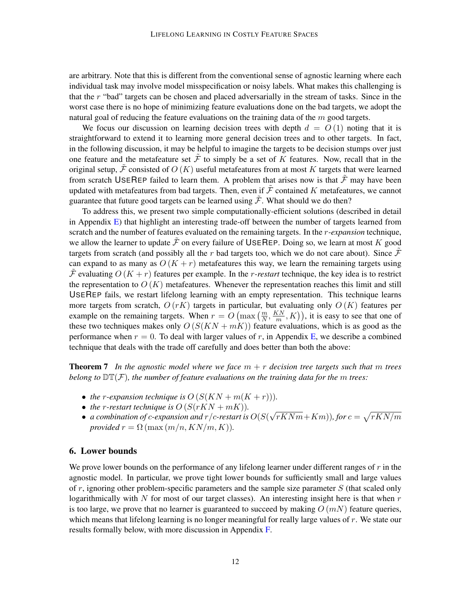are arbitrary. Note that this is different from the conventional sense of agnostic learning where each individual task may involve model misspecification or noisy labels. What makes this challenging is that the  $r$  "bad" targets can be chosen and placed adversarially in the stream of tasks. Since in the worst case there is no hope of minimizing feature evaluations done on the bad targets, we adopt the natural goal of reducing the feature evaluations on the training data of the  $m$  good targets.

We focus our discussion on learning decision trees with depth  $d = O(1)$  noting that it is straightforward to extend it to learning more general decision trees and to other targets. In fact, in the following discussion, it may be helpful to imagine the targets to be decision stumps over just one feature and the metafeature set  $\mathcal F$  to simply be a set of  $K$  features. Now, recall that in the original setup,  $\tilde{\mathcal{F}}$  consisted of  $O(K)$  useful metafeatures from at most K targets that were learned from scratch USEREP failed to learn them. A problem that arises now is that  $\mathcal F$  may have been updated with metafeatures from bad targets. Then, even if  $\tilde{\mathcal{F}}$  contained K metafeatures, we cannot guarantee that future good targets can be learned using  $\tilde{\mathcal{F}}$ . What should we do then?

To address this, we present two simple computationally-efficient solutions (described in detail in Appendix [E\)](#page-33-1) that highlight an interesting trade-off between the number of targets learned from scratch and the number of features evaluated on the remaining targets. In the r*-expansion* technique, we allow the learner to update  $\mathcal F$  on every failure of USEREP. Doing so, we learn at most K good targets from scratch (and possibly all the r bad targets too, which we do not care about). Since  $\mathcal F$ can expand to as many as  $O(K + r)$  metafeatures this way, we learn the remaining targets using F evaluating  $O(K + r)$  features per example. In the *r-restart* technique, the key idea is to restrict the representation to  $O(K)$  metafeatures. Whenever the representation reaches this limit and still USEREP fails, we restart lifelong learning with an empty representation. This technique learns more targets from scratch,  $O(rK)$  targets in particular, but evaluating only  $O(K)$  features per example on the remaining targets. When  $r = O\left(\max\left(\frac{m}{N}, \frac{KN}{m}\right)\right)$  $\left(\frac{2N}{m}, K\right)$ , it is easy to see that one of these two techniques makes only  $O(S(KN + mK))$  feature evaluations, which is as good as the performance when  $r = 0$ . To deal with larger values of r, in Appendix [E,](#page-33-1) we describe a combined technique that deals with the trade off carefully and does better than both the above:

<span id="page-11-1"></span>**Theorem 7** In the agnostic model where we face  $m + r$  decision tree targets such that m trees *belong to*  $\mathbb{D} \mathbb{T}(\mathcal{F})$ *, the number of feature evaluations on the training data for the m trees:* 

- *the r-expansion technique is*  $O(S(KN + m(K + r)))$ .
- *the r-restart technique is*  $O(S(rKN + mK))$ .
- *a combination of* c*-expansion and* r/c*-restart is* O(S( √  $\sqrt{rKNm}+Km$ )), for  $c=\sqrt{rKN/m}$ *provided*  $r = \Omega$  (max  $(m/n, KN/m, K)$ ).

### <span id="page-11-0"></span>6. Lower bounds

<span id="page-11-2"></span>We prove lower bounds on the performance of any lifelong learner under different ranges of  $r$  in the agnostic model. In particular, we prove tight lower bounds for sufficiently small and large values of  $r$ , ignoring other problem-specific parameters and the sample size parameter  $S$  (that scaled only logarithmically with N for most of our target classes). An interesting insight here is that when  $r$ is too large, we prove that no learner is guaranteed to succeed by making  $O(mN)$  feature queries, which means that lifelong learning is no longer meaningful for really large values of r. We state our results formally below, with more discussion in Appendix [F.](#page-35-0)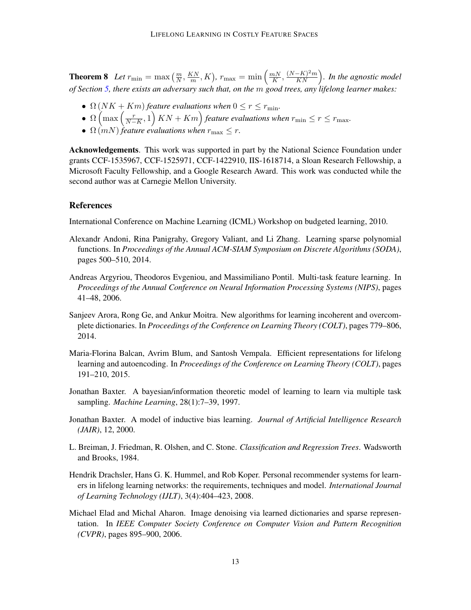**Theorem 8** Let  $r_{\min} = \max\left(\frac{m}{N}, \frac{KN}{m}\right)$  $\frac{KN}{m}, K$ ),  $r_{\text{max}} = \min \left( \frac{mN}{K} \right)$  $\frac{nN}{K}, \frac{(N-K)^2m}{KN}$ ). In the agnostic model *of Section [5,](#page-10-0) there exists an adversary such that, on the* m *good trees, any lifelong learner makes:*

- $\Omega(NK+Km)$  *feature evaluations when*  $0 \le r \le r_{\text{min}}$ *.*
- $\Omega\left(\max\left(\frac{r}{N-K},1\right)KN+Km\right)$  feature evaluations when  $r_{\min} \leq r \leq r_{\max}$ .
- $\Omega(mN)$  *feature evaluations when*  $r_{\text{max}} \leq r$ .

Acknowledgements. This work was supported in part by the National Science Foundation under grants CCF-1535967, CCF-1525971, CCF-1422910, IIS-1618714, a Sloan Research Fellowship, a Microsoft Faculty Fellowship, and a Google Research Award. This work was conducted while the second author was at Carnegie Mellon University.

## References

<span id="page-12-6"></span>International Conference on Machine Learning (ICML) Workshop on budgeted learning, 2010.

- <span id="page-12-1"></span>Alexandr Andoni, Rina Panigrahy, Gregory Valiant, and Li Zhang. Learning sparse polynomial functions. In *Proceedings of the Annual ACM-SIAM Symposium on Discrete Algorithms (SODA)*, pages 500–510, 2014.
- <span id="page-12-7"></span>Andreas Argyriou, Theodoros Evgeniou, and Massimiliano Pontil. Multi-task feature learning. In *Proceedings of the Annual Conference on Neural Information Processing Systems (NIPS)*, pages 41–48, 2006.
- <span id="page-12-9"></span>Sanjeev Arora, Rong Ge, and Ankur Moitra. New algorithms for learning incoherent and overcomplete dictionaries. In *Proceedings of the Conference on Learning Theory (COLT)*, pages 779–806, 2014.
- <span id="page-12-5"></span>Maria-Florina Balcan, Avrim Blum, and Santosh Vempala. Efficient representations for lifelong learning and autoencoding. In *Proceedings of the Conference on Learning Theory (COLT)*, pages 191–210, 2015.
- <span id="page-12-2"></span>Jonathan Baxter. A bayesian/information theoretic model of learning to learn via multiple task sampling. *Machine Learning*, 28(1):7–39, 1997.
- <span id="page-12-3"></span>Jonathan Baxter. A model of inductive bias learning. *Journal of Artificial Intelligence Research (JAIR)*, 12, 2000.
- <span id="page-12-0"></span>L. Breiman, J. Friedman, R. Olshen, and C. Stone. *Classification and Regression Trees*. Wadsworth and Brooks, 1984.
- <span id="page-12-4"></span>Hendrik Drachsler, Hans G. K. Hummel, and Rob Koper. Personal recommender systems for learners in lifelong learning networks: the requirements, techniques and model. *International Journal of Learning Technology (IJLT)*, 3(4):404–423, 2008.
- <span id="page-12-8"></span>Michael Elad and Michal Aharon. Image denoising via learned dictionaries and sparse representation. In *IEEE Computer Society Conference on Computer Vision and Pattern Recognition (CVPR)*, pages 895–900, 2006.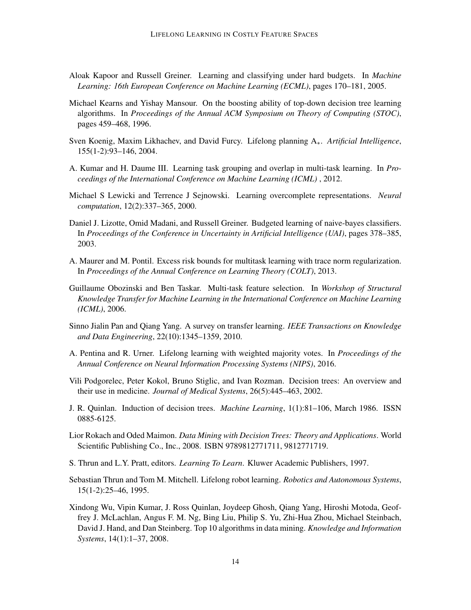- <span id="page-13-12"></span>Aloak Kapoor and Russell Greiner. Learning and classifying under hard budgets. In *Machine Learning: 16th European Conference on Machine Learning (ECML)*, pages 170–181, 2005.
- <span id="page-13-15"></span>Michael Kearns and Yishay Mansour. On the boosting ability of top-down decision tree learning algorithms. In *Proceedings of the Annual ACM Symposium on Theory of Computing (STOC)*, pages 459–468, 1996.
- <span id="page-13-9"></span>Sven Koenig, Maxim Likhachev, and David Furcy. Lifelong planning A∗. *Artificial Intelligence*, 155(1-2):93–146, 2004.
- <span id="page-13-6"></span>A. Kumar and H. Daume III. Learning task grouping and overlap in multi-task learning. In *Proceedings of the International Conference on Machine Learning (ICML)* , 2012.
- <span id="page-13-14"></span>Michael S Lewicki and Terrence J Sejnowski. Learning overcomplete representations. *Neural computation*, 12(2):337–365, 2000.
- <span id="page-13-11"></span>Daniel J. Lizotte, Omid Madani, and Russell Greiner. Budgeted learning of naive-bayes classifiers. In *Proceedings of the Conference in Uncertainty in Artificial Intelligence (UAI)*, pages 378–385, 2003.
- <span id="page-13-7"></span>A. Maurer and M. Pontil. Excess risk bounds for multitask learning with trace norm regularization. In *Proceedings of the Annual Conference on Learning Theory (COLT)*, 2013.
- <span id="page-13-13"></span>Guillaume Obozinski and Ben Taskar. Multi-task feature selection. In *Workshop of Structural Knowledge Transfer for Machine Learning in the International Conference on Machine Learning (ICML)*, 2006.
- <span id="page-13-8"></span>Sinno Jialin Pan and Qiang Yang. A survey on transfer learning. *IEEE Transactions on Knowledge and Data Engineering*, 22(10):1345–1359, 2010.
- <span id="page-13-10"></span>A. Pentina and R. Urner. Lifelong learning with weighted majority votes. In *Proceedings of the Annual Conference on Neural Information Processing Systems (NIPS)*, 2016.
- <span id="page-13-2"></span>Vili Podgorelec, Peter Kokol, Bruno Stiglic, and Ivan Rozman. Decision trees: An overview and their use in medicine. *Journal of Medical Systems*, 26(5):445–463, 2002.
- <span id="page-13-5"></span>J. R. Quinlan. Induction of decision trees. *Machine Learning*, 1(1):81–106, March 1986. ISSN 0885-6125.
- <span id="page-13-4"></span>Lior Rokach and Oded Maimon. *Data Mining with Decision Trees: Theory and Applications*. World Scientific Publishing Co., Inc., 2008. ISBN 9789812771711, 9812771719.
- <span id="page-13-0"></span>S. Thrun and L.Y. Pratt, editors. *Learning To Learn*. Kluwer Academic Publishers, 1997.
- <span id="page-13-1"></span>Sebastian Thrun and Tom M. Mitchell. Lifelong robot learning. *Robotics and Autonomous Systems*, 15(1-2):25–46, 1995.
- <span id="page-13-3"></span>Xindong Wu, Vipin Kumar, J. Ross Quinlan, Joydeep Ghosh, Qiang Yang, Hiroshi Motoda, Geoffrey J. McLachlan, Angus F. M. Ng, Bing Liu, Philip S. Yu, Zhi-Hua Zhou, Michael Steinbach, David J. Hand, and Dan Steinberg. Top 10 algorithms in data mining. *Knowledge and Information Systems*, 14(1):1–37, 2008.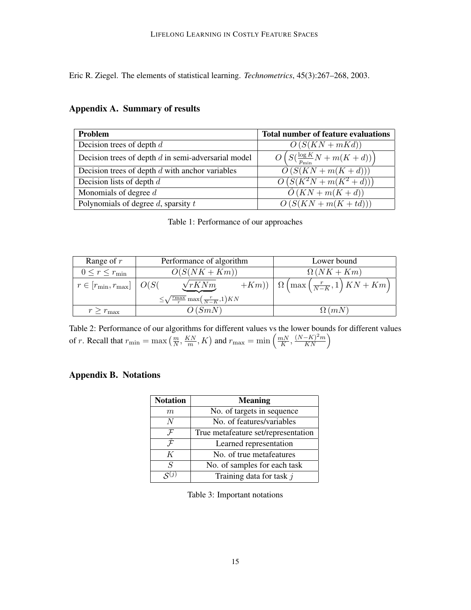<span id="page-14-0"></span>Eric R. Ziegel. The elements of statistical learning. *Technometrics*, 45(3):267–268, 2003.

<span id="page-14-1"></span>

| Problem                                               | <b>Total number of feature evaluations</b> |  |
|-------------------------------------------------------|--------------------------------------------|--|
| Decision trees of depth $d$                           | $O(S(KN + mKd))$                           |  |
| Decision trees of depth $d$ in semi-adversarial model | $O(S(\frac{\log K}{p_{\min}}N+m(K+d)))$    |  |
| Decision trees of depth $d$ with anchor variables     | $O(S(KN + m(K + d)))$                      |  |
| Decision lists of depth $d$                           | $O(S(K^{2}N + m(K^{2} + d)))$              |  |
| Monomials of degree $d$                               | $\tilde{O}(KN+m(K+d))$                     |  |
| Polynomials of degree $d$ , sparsity $t$              | $O(S(KN + m(K + td)))$                     |  |

# <span id="page-14-3"></span>Appendix A. Summary of results

# Table 1: Performance of our approaches

<span id="page-14-2"></span>

| Range of $r$                          | Performance of algorithm                                             | Lower bound                                                         |
|---------------------------------------|----------------------------------------------------------------------|---------------------------------------------------------------------|
| $0 \leq r \leq r_{\min}$              | $O(S(NK+Km))$                                                        | $\Omega(NK+Km)$                                                     |
| $r \in [r_{\min}, r_{\max}]$   $O(S($ | $\sqrt{rKNm}$                                                        | $+Km)\mid \Omega\left(\max\left(\frac{r}{N-K},1\right)KN+Km\right)$ |
|                                       | $\leq \sqrt{\frac{r_{\max}}{r}} \max\left(\frac{r}{N-K},1\right) KN$ |                                                                     |
| $r \geq r_{\max}$                     | $O\left(SmN\right)$                                                  | $\Omega(mN)$                                                        |

Table 2: Performance of our algorithms for different values vs the lower bounds for different values of *r*. Recall that  $r_{\min} = \max\left(\frac{m}{N}, \frac{KN}{m}\right)$  $\frac{K}{m}, K$  and  $r_{\text{max}} = \min \left( \frac{mN}{K} \right)$  $\frac{nN}{K}, \frac{(N-K)^2m}{KN}$ 

# <span id="page-14-4"></span>Appendix B. Notations

| <b>Notation</b> | <b>Meaning</b>                      |  |
|-----------------|-------------------------------------|--|
| m               | No. of targets in sequence          |  |
| N               | No. of features/variables           |  |
| ${\cal F}$      | True metafeature set/representation |  |
| $\mathcal F$    | Learned representation              |  |
| K               | No. of true metafeatures            |  |
| $\overline{S}$  | No. of samples for each task        |  |
|                 | Training data for task $j$          |  |

Table 3: Important notations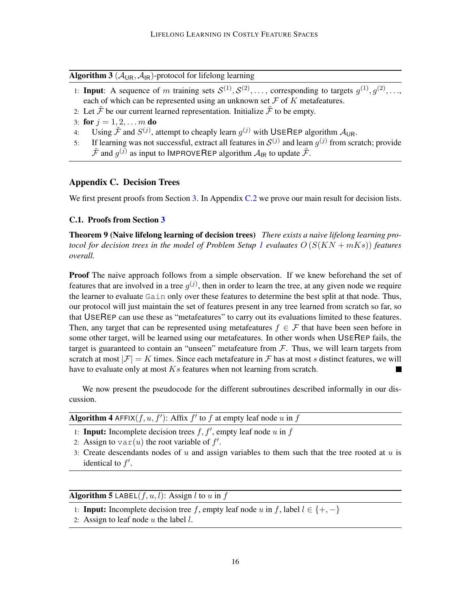<span id="page-15-0"></span>Algorithm 3 ( $A_{UR}, A_{IR}$ )-protocol for lifelong learning

- 1: **Input**: A sequence of m training sets  $S^{(1)}, S^{(2)}, \ldots$ , corresponding to targets  $g^{(1)}, g^{(2)}, \ldots$ , each of which can be represented using an unknown set  $\mathcal F$  of  $K$  metafeatures.
- 2: Let  $\tilde{\mathcal{F}}$  be our current learned representation. Initialize  $\tilde{\mathcal{F}}$  to be empty.
- 3: for  $j = 1, 2, \ldots m$  do
- 4: Using  $\tilde{\mathcal{F}}$  and  $S^{(j)}$ , attempt to cheaply learn  $g^{(j)}$  with USEREP algorithm  $\mathcal{A}_{\cup \mathsf{R}}$ .
- 5: If learning was not successful, extract all features in  $S^{(j)}$  and learn  $g^{(j)}$  from scratch; provide  $\tilde{\mathcal{F}}$  and  $g^{(j)}$  as input to IMPROVEREP algorithm  $\mathcal{A}_{\text{IR}}$  to update  $\tilde{\mathcal{F}}$ .

### <span id="page-15-1"></span>Appendix C. Decision Trees

We first present proofs from Section [3.](#page-3-0) In Appendix [C.2](#page-19-1) we prove our main result for decision lists.

# C.1. Proofs from Section [3](#page-3-0)

Theorem 9 (Naive lifelong learning of decision trees) *There exists a naive lifelong learning protocol for decision trees in the model of Problem Setup [1](#page-4-0) evaluates* O (S(KN + mKs)) *features overall.*

Proof The naive approach follows from a simple observation. If we knew beforehand the set of features that are involved in a tree  $g^{(j)}$ , then in order to learn the tree, at any given node we require the learner to evaluate Gain only over these features to determine the best split at that node. Thus, our protocol will just maintain the set of features present in any tree learned from scratch so far, so that USEREP can use these as "metafeatures" to carry out its evaluations limited to these features. Then, any target that can be represented using metafeatures  $f \in \mathcal{F}$  that have been seen before in some other target, will be learned using our metafeatures. In other words when USEREP fails, the target is guaranteed to contain an "unseen" metafeature from  $\mathcal{F}$ . Thus, we will learn targets from scratch at most  $|\mathcal{F}| = K$  times. Since each metafeature in  $\mathcal F$  has at most s distinct features, we will have to evaluate only at most  $Ks$  features when not learning from scratch.

We now present the pseudocode for the different subroutines described informally in our discussion.

| <b>Algorithm 4</b> AFFIX $(f, u, f')$ : Affix $f'$ to f at empty leaf node u in f |  |
|-----------------------------------------------------------------------------------|--|
|-----------------------------------------------------------------------------------|--|

- 1: Input: Incomplete decision trees  $f, f'$ , empty leaf node  $u$  in  $f$
- 2: Assign to  $var(u)$  the root variable of  $f'$ .
- 3: Create descendants nodes of  $u$  and assign variables to them such that the tree rooted at  $u$  is identical to  $f'$ .

**Algorithm 5** LABEL $(f, u, l)$ : Assign l to u in f

- 1: **Input:** Incomplete decision tree f, empty leaf node u in f, label  $l \in \{+, -\}$
- 2: Assign to leaf node  $u$  the label  $l$ .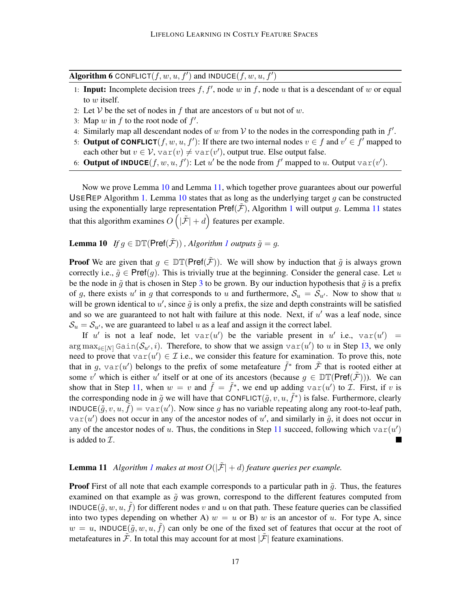Algorithm 6 CONFLICT $(f, w, u, f')$  and INDUCE $(f, w, u, f')$ 

- 1: Input: Incomplete decision trees  $f, f'$ , node w in f, node u that is a descendant of w or equal to w itself.
- 2: Let V be the set of nodes in f that are ancestors of u but not of w.
- 3: Map  $w$  in  $f$  to the root node of  $f'$ .
- 4: Similarly map all descendant nodes of w from  $\mathcal V$  to the nodes in the corresponding path in  $f'$ .
- 5: **Output of CONFLICT** $(f, w, u, f')$ : If there are two internal nodes  $v \in f$  and  $v' \in f'$  mapped to each other but  $v \in V$ ,  $var(v) \neq var(v')$ , output true. Else output false.
- 6: **Output of INDUCE** $(f, w, u, f')$ : Let u' be the node from f' mapped to u. Output var(v').

Now we prove Lemma [10](#page-16-0) and Lemma [11,](#page-16-1) which together prove guarantees about our powerful USEREP Algorithm [1.](#page-6-0) Lemma [10](#page-16-0) states that as long as the underlying target q can be constructed using the exponentially large representation  $\text{Pref}(\mathcal{F})$ , Algorithm [1](#page-6-0) will output g. Lemma [11](#page-16-1) states that this algorithm examines  $O(|\tilde{\mathcal{F}}| + d)$  features per example.

<span id="page-16-0"></span>**Lemma [1](#page-6-0)0** *If*  $g \in \mathbb{DT}(\mathsf{Pref}(\tilde{\mathcal{F}}))$ , Algorithm *1* outputs  $\tilde{g} = g$ .

**Proof** We are given that  $g \in \mathbb{DT}(\mathsf{Pref}(\tilde{\mathcal{F}}))$ . We will show by induction that  $\tilde{g}$  is always grown correctly i.e.,  $\tilde{g} \in \text{Pref}(g)$ . This is trivially true at the beginning. Consider the general case. Let u be the node in  $\tilde{g}$  that is chosen in Step [3](#page-6-6) to be grown. By our induction hypothesis that  $\tilde{g}$  is a prefix of g, there exists u' in g that corresponds to u and furthermore,  $S_u = S_{u'}$ . Now to show that u will be grown identical to  $u'$ , since  $\tilde{g}$  is only a prefix, the size and depth constraints will be satisfied and so we are guaranteed to not halt with failure at this node. Next, if  $u'$  was a leaf node, since  $S_u = S_{u'}$ , we are guaranteed to label u as a leaf and assign it the correct label.

If u' is not a leaf node, let  $var(u')$  be the variable present in u' i.e.,  $var(u') =$  $\arg \max_{i \in [N]} \text{Gain}(\mathcal{S}_{u'}, i)$ . Therefore, to show that we assign  $\text{var}(u')$  to u in Step [13,](#page-6-2) we only need to prove that  $var(u') \in \mathcal{I}$  i.e., we consider this feature for examination. To prove this, note that in g, var(u') belongs to the prefix of some metafeature  $\tilde{f}^*$  from  $\tilde{\mathcal{F}}$  that is rooted either at some v' which is either u' itself or at one of its ancestors (because  $g \in \mathbb{DT}(\text{Pref}(\tilde{\mathcal{F}}))$ ). We can show that in Step [11,](#page-6-3) when  $w = v$  and  $\tilde{f} = \tilde{f}^*$ , we end up adding  $var(u')$  to  $\tilde{I}$ . First, if v is the corresponding node in  $\tilde{g}$  we will have that CONFLICT $(\tilde{g}, v, u, \tilde{f}^*)$  is false. Furthermore, clearly INDUCE $(\tilde{g}, v, u, \tilde{f}) = \text{var}(u')$ . Now since g has no variable repeating along any root-to-leaf path,  $var(u')$  does not occur in any of the ancestor nodes of u', and similarly in  $\tilde{g}$ , it does not occur in any of the ancestor nodes of u. Thus, the conditions in Step [11](#page-6-3) succeed, following which  $var(u')$ is added to  $\mathcal{I}.$ ×

# <span id="page-16-1"></span>**Lemma [1](#page-6-0)1** *Algorithm 1 makes at most*  $O(|\tilde{F}| + d)$  *feature queries per example.*

**Proof** First of all note that each example corresponds to a particular path in  $\tilde{g}$ . Thus, the features examined on that example as  $\tilde{g}$  was grown, correspond to the different features computed from INDUCE( $\tilde{g}, w, u, f$ ) for different nodes v and u on that path. These feature queries can be classified into two types depending on whether A)  $w = u$  or B) w is an ancestor of u. For type A, since  $w = u$ , INDUCE $(\tilde{g}, w, u, \tilde{f})$  can only be one of the fixed set of features that occur at the root of metafeatures in  $\tilde{\mathcal{F}}$ . In total this may account for at most  $|\tilde{\mathcal{F}}|$  feature examinations.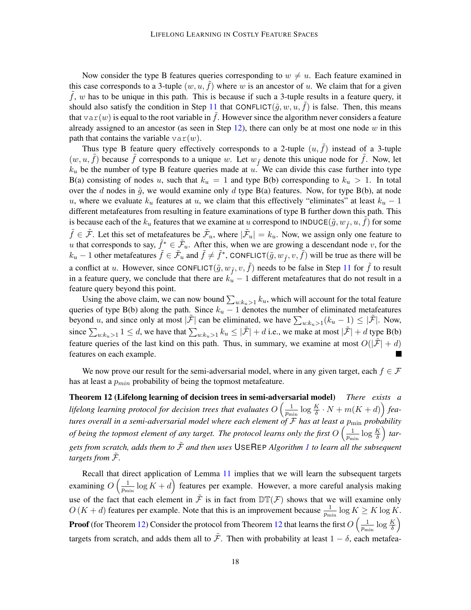Now consider the type B features queries corresponding to  $w \neq u$ . Each feature examined in this case corresponds to a 3-tuple  $(w, u, f)$  where w is an ancestor of u. We claim that for a given  $f, w$  has to be unique in this path. This is because if such a 3-tuple results in a feature query, it should also satisfy the condition in Step [11](#page-6-3) that CONFLICT( $\tilde{q}$ , w, u, f) is false. Then, this means that  $var(w)$  is equal to the root variable in f. However since the algorithm never considers a feature already assigned to an ancestor (as seen in Step [12\)](#page-6-7), there can only be at most one node  $w$  in this path that contains the variable  $var(w)$ .

Thus type B feature query effectively corresponds to a 2-tuple  $(u, \tilde{f})$  instead of a 3-tuple  $(w, u, f)$  because f corresponds to a unique w. Let  $w_f$  denote this unique node for f. Now, let  $k_u$  be the number of type B feature queries made at u. We can divide this case further into type B(a) consisting of nodes u, such that  $k_u = 1$  and type B(b) corresponding to  $k_u > 1$ . In total over the d nodes in  $\tilde{g}$ , we would examine only d type B(a) features. Now, for type B(b), at node u, where we evaluate  $k_u$  features at u, we claim that this effectively "eliminates" at least  $k_u - 1$ different metafeatures from resulting in feature examinations of type B further down this path. This is because each of the  $k_u$  features that we examine at u correspond to INDUCE( $\tilde{g}, w_{\tilde{f}}, u, f$ ) for some  $\tilde{f} \in \tilde{\mathcal{F}}$ . Let this set of metafeatures be  $\tilde{\mathcal{F}}_u$ , where  $|\tilde{\mathcal{F}}_u| = k_u$ . Now, we assign only one feature to u that corresponds to say,  $\tilde{f}^* \in \tilde{\mathcal{F}}_u$ . After this, when we are growing a descendant node v, for the  $k_u - 1$  other metafeatures  $\tilde{f} \in \tilde{\mathcal{F}}_u$  and  $\tilde{f} \neq \tilde{f}^*$ , CONFLICT $(\tilde{g}, w_{\tilde{f}}, v, \tilde{f})$  will be true as there will be a conflict at u. However, since CONFLICT $(\tilde{g}, w_{\tilde{f}}, v, \tilde{f})$  needs to be false in Step [11](#page-6-3) for  $\tilde{f}$  to result in a feature query, we conclude that there are  $k<sub>u</sub> - 1$  different metafeatures that do not result in a feature query beyond this point.

Using the above claim, we can now bound  $\sum_{u:k_u>1} k_u$ , which will account for the total feature queries of type B(b) along the path. Since  $k_u - 1$  denotes the number of eliminated metafeatures beyond u, and since only at most  $|\tilde{\mathcal{F}}|$  can be eliminated, we have  $\sum_{u:k_u>1}(k_u-1) \leq |\tilde{\mathcal{F}}|$ . Now, since  $\sum_{u:k_u>1} 1 \leq d$ , we have that  $\sum_{u:k_u>1} k_u \leq |\tilde{\mathcal{F}}| + d$  i.e., we make at most  $|\tilde{\mathcal{F}}| + d$  type B(b) feature queries of the last kind on this path. Thus, in summary, we examine at most  $O(|\tilde{\mathcal{F}}| + d)$ features on each example.  $\overline{\phantom{a}}$ 

We now prove our result for the semi-adversarial model, where in any given target, each  $f \in \mathcal{F}$ has at least a  $p_{min}$  probability of being the topmost metafeature.

<span id="page-17-0"></span>Theorem 12 (Lifelong learning of decision trees in semi-adversarial model) *There exists a* lifelong learning protocol for decision trees that evaluates  $O\left(\frac{1}{n}\right)$  $\frac{1}{p_{\min}}\log \frac{K}{\delta}\cdot N + m(K+d)\Big)\, fea\cdot$ *tures overall in a semi-adversarial model where each element of* F *has at least a* pmin *probability of being the topmost element of any target. The protocol learns only the first O*  $\left(\frac{1}{n}\right)$  $\frac{1}{p_{\min}}\log \frac{K}{\delta}\right)$  tar*gets from scratch, adds them to* F˜ *and then uses* USEREP *Algorithm [1](#page-6-0) to learn all the subsequent targets from*  $\ddot{\mathcal{F}}$ *.* 

Recall that direct application of Lemma [11](#page-16-1) implies that we will learn the subsequent targets examining  $O\left(\frac{1}{n}\right)$  $\frac{1}{p_{\min}} \log K + d$ ) features per example. However, a more careful analysis making use of the fact that each element in  $\tilde{\mathcal{F}}$  is in fact from  $DT(\mathcal{F})$  shows that we will examine only  $O(K + d)$  features per example. Note that this is an improvement because  $\frac{1}{p_{\min}} \log K \ge K \log K$ . **Proof** (for Theorem [12\)](#page-17-0) Consider the protocol from Theorem [12](#page-17-0) that learns the first  $O\left(\frac{1}{n}\right)$  $\frac{1}{p_{\min}} \log \frac{K}{\delta}$ targets from scratch, and adds them all to  $\tilde{\mathcal{F}}$ . Then with probability at least  $1 - \delta$ , each metafea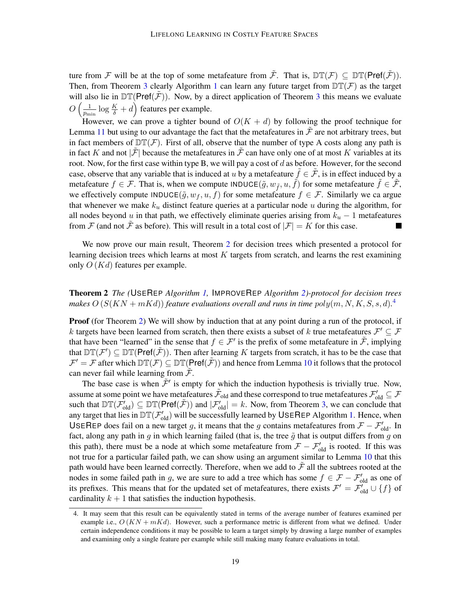ture from F will be at the top of some metafeature from  $\tilde{\mathcal{F}}$ . That is,  $\mathbb{DT}(\mathcal{F}) \subseteq \mathbb{DT}(\mathsf{Pref}(\tilde{\mathcal{F}}))$ . Then, from Theorem [3](#page-6-5) clearly Algorithm [1](#page-6-0) can learn any future target from  $DT(\mathcal{F})$  as the target will also lie in  $DT(Pref(\mathcal{F}))$ . Now, by a direct application of Theorem [3](#page-6-5) this means we evaluate  $O\left(\frac{1}{n}\right)$  $\frac{1}{p_{\min}} \log \frac{K}{\delta} + d$  features per example.

However, we can prove a tighter bound of  $O(K + d)$  by following the proof technique for Lemma [11](#page-16-1) but using to our advantage the fact that the metafeatures in  $\tilde{\mathcal{F}}$  are not arbitrary trees, but in fact members of  $DT(\mathcal{F})$ . First of all, observe that the number of type A costs along any path is in fact K and not  $|\tilde{\mathcal{F}}|$  because the metafeatures in  $\tilde{\mathcal{F}}$  can have only one of at most K variables at its root. Now, for the first case within type B, we will pay a cost of  $d$  as before. However, for the second case, observe that any variable that is induced at u by a metafeature  $\tilde{f} \in \tilde{\mathcal{F}}$ , is in effect induced by a metafeature  $f \in \mathcal{F}$ . That is, when we compute INDUCE $(\tilde{g}, w_{\tilde{f}}, u, \tilde{f})$  for some metafeature  $\tilde{f} \in \tilde{\mathcal{F}}$ , we effectively compute INDUCE( $\tilde{g}, w_f, u, f$ ) for some metafeature  $f \in \mathcal{F}$ . Similarly we ca argue that whenever we make  $k_u$  distinct feature queries at a particular node u during the algorithm, for all nodes beyond u in that path, we effectively eliminate queries arising from  $k<sub>u</sub> - 1$  metafeatures from F (and not  $\tilde{\mathcal{F}}$  as before). This will result in a total cost of  $|\mathcal{F}| = K$  for this case. I.

We now prove our main result, Theorem [2](#page-5-0) for decision trees which presented a protocol for learning decision trees which learns at most  $K$  targets from scratch, and learns the rest examining only  $O(Kd)$  features per example.

Theorem 2 *The (*USEREP *Algorithm [1,](#page-6-0)* IMPROVEREP *Algorithm [2\)](#page-7-0)-protocol for decision trees* makes  $O\left(S(KN + mKd)\right)$  feature evaluations overall and runs in time  $poly(m, N, K, S, s, d).$ <sup>[4](#page-18-0)</sup>

**Proof** (for Theorem [2\)](#page-5-0) We will show by induction that at any point during a run of the protocol, if k targets have been learned from scratch, then there exists a subset of k true metafeatures  $\mathcal{F}' \subseteq \mathcal{F}$ that have been "learned" in the sense that  $f \in \mathcal{F}'$  is the prefix of some metafeature in  $\tilde{\mathcal{F}}$ , implying that  $DT(\mathcal{F}') \subseteq DT(Pref(\tilde{\mathcal{F}}))$ . Then after learning K targets from scratch, it has to be the case that  $\mathcal{F}' = \mathcal{F}$  after which  $\mathbb{DT}(\mathcal{F}) \subseteq \mathbb{DT}(\mathsf{Pref}(\tilde{\mathcal{F}}))$  and hence from Lemma [10](#page-16-0) it follows that the protocol can never fail while learning from  $\tilde{\mathcal{F}}$ .

The base case is when  $\tilde{\mathcal{F}}'$  is empty for which the induction hypothesis is trivially true. Now, assume at some point we have metafeatures  $\tilde{\cal F}_{\rm old}$  and these correspond to true metafeatures  ${\cal F}'_{\rm old}\subseteq {\cal F}$ such that  $\mathbb{DT}(\mathcal{F}_{old}') \subseteq \mathbb{DT}(\mathsf{Pref}(\tilde{\mathcal{F}}))$  and  $|\mathcal{F}_{old}'| = k$ . Now, from Theorem [3,](#page-6-5) we can conclude that any target that lies in  $DT(\mathcal{F}_{old}')$  will be successfully learned by USEREP Algorithm [1.](#page-6-0) Hence, when USEREP does fail on a new target g, it means that the g contains metafeatures from  $\mathcal{F} - \mathcal{F}'_{old}$ . In fact, along any path in g in which learning failed (that is, the tree  $\tilde{g}$  that is output differs from g on this path), there must be a node at which some metafeature from  $\mathcal{F} - \mathcal{F}'_{old}$  is rooted. If this was not true for a particular failed path, we can show using an argument similar to Lemma [10](#page-16-0) that this path would have been learned correctly. Therefore, when we add to  $\ddot{\mathcal{F}}$  all the subtrees rooted at the nodes in some failed path in g, we are sure to add a tree which has some  $f \in \mathcal{F} - \mathcal{F}'_{old}$  as one of its prefixes. This means that for the updated set of metafeatures, there exists  $\mathcal{F}' = \mathcal{F}'_{old} \cup \{f\}$  of cardinality  $k + 1$  that satisfies the induction hypothesis.

<span id="page-18-0"></span><sup>4.</sup> It may seem that this result can be equivalently stated in terms of the average number of features examined per example i.e.,  $O(KN + mKd)$ . However, such a performance metric is different from what we defined. Under certain independence conditions it may be possible to learn a target simply by drawing a large number of examples and examining only a single feature per example while still making many feature evaluations in total.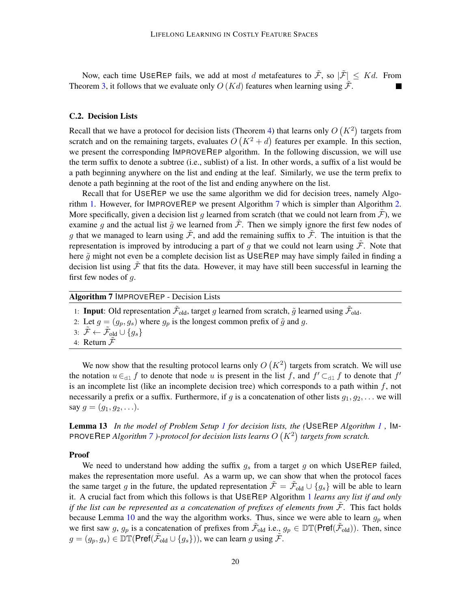Now, each time USEREP fails, we add at most d metafeatures to  $\tilde{\mathcal{F}}$ , so  $|\tilde{\mathcal{F}}| \leq Kd$ . From Theorem [3,](#page-6-5) it follows that we evaluate only  $O(Kd)$  features when learning using  $\mathcal{F}$ .

#### <span id="page-19-1"></span>C.2. Decision Lists

Recall that we have a protocol for decision lists (Theorem [4\)](#page-8-2) that learns only  $O(K^2)$  targets from scratch and on the remaining targets, evaluates  $O(K^2 + d)$  features per example. In this section, we present the corresponding IMPROVEREP algorithm. In the following discussion, we will use the term suffix to denote a subtree (i.e., sublist) of a list. In other words, a suffix of a list would be a path beginning anywhere on the list and ending at the leaf. Similarly, we use the term prefix to denote a path beginning at the root of the list and ending anywhere on the list.

Recall that for USEREP we use the same algorithm we did for decision trees, namely Algorithm [1.](#page-6-0) However, for IMPROVEREP we present Algorithm [7](#page-19-0) which is simpler than Algorithm [2.](#page-7-0) More specifically, given a decision list g learned from scratch (that we could not learn from  $\mathcal{F}$ ), we examine g and the actual list  $\tilde{g}$  we learned from  $\tilde{\mathcal{F}}$ . Then we simply ignore the first few nodes of g that we managed to learn using  $\tilde{\mathcal{F}}$ , and add the remaining suffix to  $\tilde{\mathcal{F}}$ . The intuition is that the representation is improved by introducing a part of g that we could not learn using  $\tilde{\mathcal{F}}$ . Note that here  $\tilde{q}$  might not even be a complete decision list as USEREP may have simply failed in finding a decision list using  $\tilde{\mathcal{F}}$  that fits the data. However, it may have still been successful in learning the first few nodes of g.

<span id="page-19-0"></span>Algorithm 7 IMPROVEREP - Decision Lists

1: Input: Old representation  $\tilde{\mathcal{F}}_{old}$ , target g learned from scratch,  $\tilde{g}$  learned using  $\tilde{\mathcal{F}}_{old}$ .

2: Let  $g = (g_p, g_s)$  where  $g_p$  is the longest common prefix of  $\tilde{g}$  and g.

3:  $\tilde{\mathcal{F}} \leftarrow \tilde{\mathcal{F}}_{\text{old}} \cup \{g_s\}$ 

4: Return  $\tilde{\mathcal{F}}$ 

We now show that the resulting protocol learns only  $O(K^2)$  targets from scratch. We will use the notation  $u \in_{\text{dil}} f$  to denote that node u is present in the list f, and  $f' \subset_{\text{dil}} f$  to denote that  $f'$ is an incomplete list (like an incomplete decision tree) which corresponds to a path within  $f$ , not necessarily a prefix or a suffix. Furthermore, if g is a concatenation of other lists  $g_1, g_2, \ldots$  we will say  $g = (g_1, g_2, \ldots).$ 

Lemma 13 *In the model of Problem Setup [1](#page-4-0) for decision lists, the (*USEREP *Algorithm [1](#page-6-0) ,* IM-PROVE $\mathsf{R}\varepsilon$ P *Algorithm* [7](#page-19-0) )-protocol for decision lists learns  $O(K^2)$  targets from scratch.

#### Proof

We need to understand how adding the suffix  $g_s$  from a target g on which USEREP failed, makes the representation more useful. As a warm up, we can show that when the protocol faces the same target g in the future, the updated representation  $\tilde{\mathcal{F}} = \tilde{\mathcal{F}}_{old} \cup \{g_s\}$  will be able to learn it. A crucial fact from which this follows is that USEREP Algorithm [1](#page-6-0) *learns any list if and only if the list can be represented as a concatenation of prefixes of elements from*  $\mathcal{F}$ . This fact holds because Lemma [10](#page-16-0) and the way the algorithm works. Thus, since we were able to learn  $g_p$  when we first saw g,  $g_p$  is a concatenation of prefixes from  $\tilde{\mathcal{F}}_{old}$  i.e.,  $g_p \in \mathbb{DT}(\mathsf{Pref}(\tilde{\mathcal{F}}_{old}))$ . Then, since  $g = (g_p, g_s) \in \mathbb{DT}(\mathsf{Pref}(\tilde{\mathcal{F}}_{\text{old}} \cup \{g_s\}))$ , we can learn g using  $\tilde{\mathcal{F}}$ .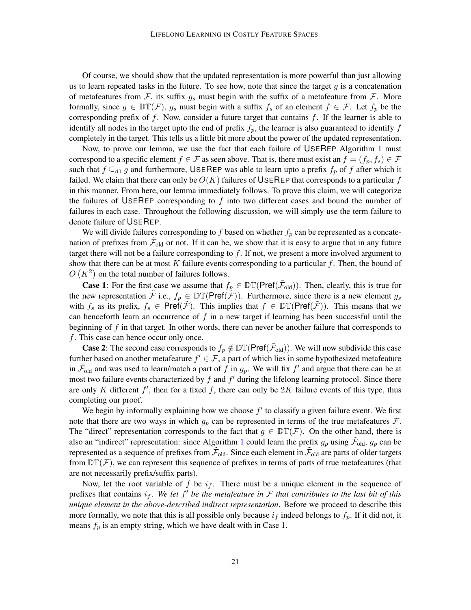Of course, we should show that the updated representation is more powerful than just allowing us to learn repeated tasks in the future. To see how, note that since the target  $g$  is a concatenation of metafeatures from  $\mathcal{F}$ , its suffix  $g_s$  must begin with the suffix of a metafeature from  $\mathcal{F}$ . More formally, since  $g \in \mathbb{DT}(\mathcal{F})$ ,  $g_s$  must begin with a suffix  $f_s$  of an element  $f \in \mathcal{F}$ . Let  $f_p$  be the corresponding prefix of  $f$ . Now, consider a future target that contains  $f$ . If the learner is able to identify all nodes in the target upto the end of prefix  $f_p$ , the learner is also guaranteed to identify  $f$ completely in the target. This tells us a little bit more about the power of the updated representation.

Now, to prove our lemma, we use the fact that each failure of USEREP Algorithm [1](#page-6-0) must correspond to a specific element  $f \in \mathcal{F}$  as seen above. That is, there must exist an  $f = (f_p, f_s) \in \mathcal{F}$ such that  $f \subseteq_{d} g$  and furthermore, USEREP was able to learn upto a prefix  $f_p$  of f after which it failed. We claim that there can only be  $O(K)$  failures of USEREP that corresponds to a particular f in this manner. From here, our lemma immediately follows. To prove this claim, we will categorize the failures of USEREP corresponding to  $f$  into two different cases and bound the number of failures in each case. Throughout the following discussion, we will simply use the term failure to denote failure of USEREP.

We will divide failures corresponding to f based on whether  $f_p$  can be represented as a concatenation of prefixes from  $\tilde{\mathcal{F}}_{old}$  or not. If it can be, we show that it is easy to argue that in any future target there will not be a failure corresponding to  $f$ . If not, we present a more involved argument to show that there can be at most  $K$  failure events corresponding to a particular  $f$ . Then, the bound of  $O(K^2)$  on the total number of failures follows.

**Case 1:** For the first case we assume that  $f_p \in \mathbb{DT}(\mathsf{Pref}(\tilde{\mathcal{F}}_{old}))$ . Then, clearly, this is true for the new representation  $\tilde{\mathcal{F}}$  i.e.,  $f_p \in \mathbb{DT}(\mathsf{Pref}(\tilde{\mathcal{F}}))$ . Furthermore, since there is a new element  $g_s$ with  $f_s$  as its prefix,  $f_s \in \text{Pref}(\mathcal{F})$ . This implies that  $f \in \mathbb{DT}(\text{Pref}(\mathcal{F}))$ . This means that we can henceforth learn an occurrence of  $f$  in a new target if learning has been successful until the beginning of  $f$  in that target. In other words, there can never be another failure that corresponds to f. This case can hence occur only once.

**Case 2:** The second case corresponds to  $f_p \notin \mathbb{DT}(\mathsf{Pref}(\tilde{\mathcal{F}}_{old}))$ . We will now subdivide this case further based on another metafeature  $f' \in \mathcal{F}$ , a part of which lies in some hypothesized metafeature in  $\tilde{\mathcal{F}}_{old}$  and was used to learn/match a part of f in  $g_p$ . We will fix f' and argue that there can be at most two failure events characterized by  $f$  and  $f'$  during the lifelong learning protocol. Since there are only K different  $f'$ , then for a fixed f, there can only be 2K failure events of this type, thus completing our proof.

We begin by informally explaining how we choose  $f'$  to classify a given failure event. We first note that there are two ways in which  $g_p$  can be represented in terms of the true metafeatures  $\mathcal{F}$ . The "direct" representation corresponds to the fact that  $g \in \mathbb{DT}(\mathcal{F})$ . On the other hand, there is also an "indirect" representation: since Algorithm [1](#page-6-0) could learn the prefix  $g_p$  using  $\tilde{\mathcal{F}}_{old}$ ,  $g_p$  can be represented as a sequence of prefixes from  $\tilde{F}_{old}$ . Since each element in  $\tilde{F}_{old}$  are parts of older targets from  $DT(\mathcal{F})$ , we can represent this sequence of prefixes in terms of parts of true metafeatures (that are not necessarily prefix/suffix parts).

Now, let the root variable of f be  $i_f$ . There must be a unique element in the sequence of prefixes that contains  $i_f$ . We let  $f'$  be the metafeature in  $\mathcal F$  that contributes to the last bit of this *unique element in the above-described indirect representation*. Before we proceed to describe this more formally, we note that this is all possible only because  $i_f$  indeed belongs to  $f_p$ . If it did not, it means  $f_p$  is an empty string, which we have dealt with in Case 1.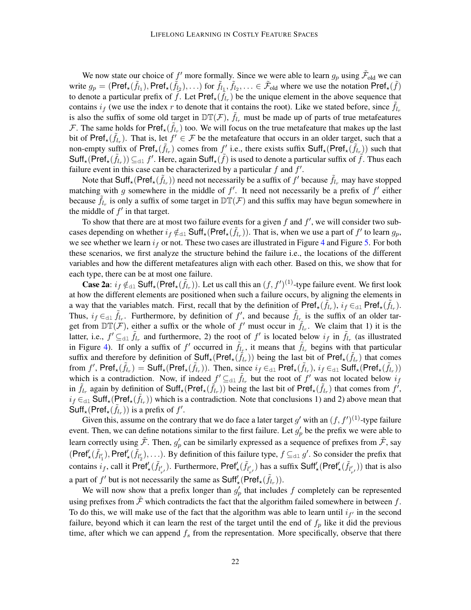We now state our choice of  $f'$  more formally. Since we were able to learn  $g_p$  using  $\tilde{\mathcal{F}}_{old}$  we can write  $g_p = (\text{Pref}_\star(\tilde{f}_{l_1}), \text{Pref}_\star(\tilde{f}_{l_2}), \ldots)$  for  $\tilde{f}_{l_1}, \tilde{f}_{l_2}, \ldots \in \tilde{\mathcal{F}}_{\text{old}}$  where we use the notation  $\text{Pref}_\star(\tilde{f})$ to denote a particular prefix of  $\tilde{f}$ . Let  $\text{Pref}_\star(\tilde{f}_{l_r})$  be the unique element in the above sequence that contains  $i_f$  (we use the index r to denote that it contains the root). Like we stated before, since  $f_{l_r}$ is also the suffix of some old target in  $DT(\mathcal{F})$ ,  $\tilde{f}_{l_r}$  must be made up of parts of true metafeatures F. The same holds for  $\text{Pref}_\star(\tilde{f}_{l_r})$  too. We will focus on the true metafeature that makes up the last bit of Pref<sub>\*</sub>( $\tilde{f}_{l_r}$ ). That is, let  $f' \in \mathcal{F}$  be the metafeature that occurs in an older target, such that a non-empty suffix of  $\text{Pref}_\star(\tilde{f}_{l_r})$  comes from  $f'$  i.e., there exists suffix  $\text{Suff}_\star(\text{Pref}_\star(\tilde{f}_{l_r}))$  such that  $\mathsf{Suff}_\star(\mathsf{Pref}_\star(\tilde{f}_{l_r})) \subseteq_{\text{cl}} f'.$  Here, again  $\mathsf{Suff}_\star(\tilde{f})$  is used to denote a particular suffix of  $\tilde{f}.$  Thus each failure event in this case can be characterized by a particular  $f$  and  $f'$ .

Note that  $\text{Suff}_\star(\tilde{f}_{l_r})$  need not necessarily be a suffix of  $f'$  because  $\tilde{f}_{l_r}$  may have stopped matching with g somewhere in the middle of  $f'$ . It need not necessarily be a prefix of  $f'$  either because  $\tilde{f}_{l_r}$  is only a suffix of some target in  $\mathbb{DT}(\mathcal{F})$  and this suffix may have begun somewhere in the middle of  $f'$  in that target.

To show that there are at most two failure events for a given  $f$  and  $f'$ , we will consider two subcases depending on whether  $i_f \notin_{\text{dl}} \text{Suff}_\star(\widetilde{f}_{l_r})$ . That is, when we use a part of  $f'$  to learn  $g_p$ , we see whether we learn  $i_f$  or not. These two cases are illustrated in Figure [4](#page-22-0) and Figure [5.](#page-24-0) For both these scenarios, we first analyze the structure behind the failure i.e., the locations of the different variables and how the different metafeatures align with each other. Based on this, we show that for each type, there can be at most one failure.

**Case 2a**:  $i_f \notin \text{cl}$  Suff<sub>\*</sub>(Pref<sub>\*</sub>( $\tilde{f}_{l_r}$ )). Let us call this an  $(f, f')^{(1)}$ -type failure event. We first look at how the different elements are positioned when such a failure occurs, by aligning the elements in a way that the variables match. First, recall that by the definition of  $\text{Pref}_\star(\tilde{f}_{l_r})$ ,  $i_f \in_{\text{cl}} \text{Pref}_\star(\tilde{f}_{l_r})$ . Thus,  $i_f \in_{d} \tilde{f}_{l_r}$ . Furthermore, by definition of f', and because  $\tilde{f}_{l_r}$  is the suffix of an older target from  $DT(\mathcal{F})$ , either a suffix or the whole of  $f'$  must occur in  $\tilde{f}_{l_r}$ . We claim that 1) it is the latter, i.e.,  $f' \subseteq_{d} f_{l_r}$  and furthermore, 2) the root of  $f'$  is located below  $i_f$  in  $\tilde{f}_{l_r}$  (as illustrated in Figure [4\)](#page-22-0). If only a suffix of f' occurred in  $\tilde{f}_{l_x}$ , it means that  $\tilde{f}_{l_x}$  begins with that particular suffix and therefore by definition of  $\text{Suff}_{\star}(\overline{\hat{f}}_{l_r})$  being the last bit of  $\text{Pref}_{\star}(\tilde{f}_{l_r})$  that comes from f',  $\mathsf{Pref}_\star(\tilde{f}_{l_r}) = \mathsf{Suff}_\star(\mathsf{Pref}_\star(\tilde{f}_{l_r}))$ . Then, since  $i_f \in_{\text{dl}} \mathsf{Pref}_\star(\tilde{f}_{l_r})$ ,  $i_f \in_{\text{dl}} \mathsf{Suff}_\star(\mathsf{Pref}_\star(\tilde{f}_{l_r}))$ which is a contradiction. Now, if indeed  $f' \subseteq_{\text{cl}} \tilde{f}_{l_r}$  but the root of  $f'$  was not located below  $i_f$ in  $\tilde{f}_{l_r}$  again by definition of Suff<sub>\*</sub>(Pref<sub>\*</sub>( $\tilde{f}_{l_r}$ )) being the last bit of Pref<sub>\*</sub>( $\tilde{f}_{l_r}$ ) that comes from  $f'$ ,  $i_f \in_{d} \text{Suff}_\star(\text{Pref}_\star(\tilde{f}_{l_r}))$  which is a contradiction. Note that conclusions 1) and 2) above mean that  $\mathsf{Suff}_\star(\mathsf{Pref}_\star(\tilde{f}_{l_r}))$  is a prefix of  $f'$ .

Given this, assume on the contrary that we do face a later target g' with an  $(f, f')^{(1)}$ -type failure event. Then, we can define notations similar to the first failure. Let  $g'_{p}$  be the prefix we were able to learn correctly using  $\tilde{\mathcal{F}}$ . Then,  $g'_p$  can be similarly expressed as a sequence of prefixes from  $\tilde{\mathcal{F}}$ , say  $(Pref'_{\star}(\tilde{f}_{l'_{1}}), Pref'_{\star}(\tilde{f}_{l'_{2}}), \ldots)$ . By definition of this failure type,  $f \subseteq_{d} g'$ . So consider the prefix that contains  $i_f$ , call it  $\text{Pref}'_{\star}(\tilde{f}_{l'_{r'}})$ . Furthermore,  $\text{Pref}'_{\star}(\tilde{f}_{l'_{r'}})$  has a suffix  $\text{Suff}'_{\star}(\text{Pref}'_{\star}(\tilde{f}_{l'_{r'}}))$  that is also a part of  $f'$  but is not necessarily the same as  $\text{Suff}'_{\star}(\text{Pref}_{\star}(\tilde{f}_{l_r})).$ 

We will now show that a prefix longer than  $g'_p$  that includes f completely can be represented using prefixes from  $\bar{\mathcal{F}}$  which contradicts the fact that the algorithm failed somewhere in between f. To do this, we will make use of the fact that the algorithm was able to learn until  $i_{f'}$  in the second failure, beyond which it can learn the rest of the target until the end of  $f_p$  like it did the previous time, after which we can append  $f_s$  from the representation. More specifically, observe that there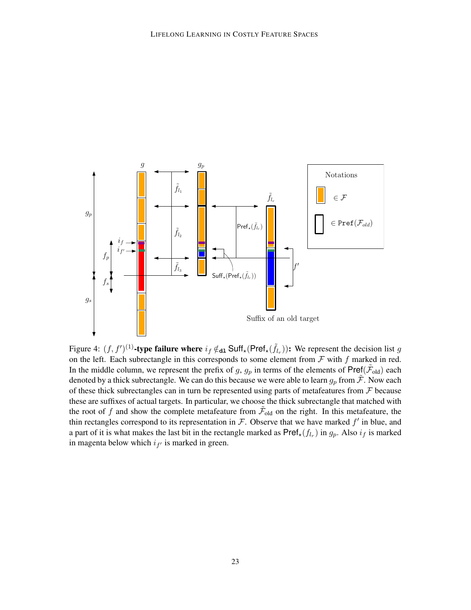<span id="page-22-0"></span>

Figure 4:  $(f, f')^{(1)}$ -type failure where  $i_f \notin$ <sub>dl</sub> Suff<sub>\*</sub>(Pref<sub>\*</sub>( $\tilde{f}_{l_r}$ )): We represent the decision list g on the left. Each subrectangle in this corresponds to some element from  $\mathcal F$  with  $f$  marked in red. In the middle column, we represent the prefix of g,  $g_p$  in terms of the elements of Pref( $\tilde{\mathcal{F}}_{old}$ ) each denoted by a thick subrectangle. We can do this because we were able to learn  $g_p$  from  $\mathcal{F}$ . Now each of these thick subrectangles can in turn be represented using parts of metafeatures from  $\mathcal F$  because these are suffixes of actual targets. In particular, we choose the thick subrectangle that matched with the root of f and show the complete metafeature from  $\tilde{\mathcal{F}}_{old}$  on the right. In this metafeature, the thin rectangles correspond to its representation in  $\mathcal F$ . Observe that we have marked  $f'$  in blue, and a part of it is what makes the last bit in the rectangle marked as  $\text{Pref}_\star(f_{l_r})$  in  $g_p$ . Also  $i_f$  is marked in magenta below which  $i_{f'}$  is marked in green.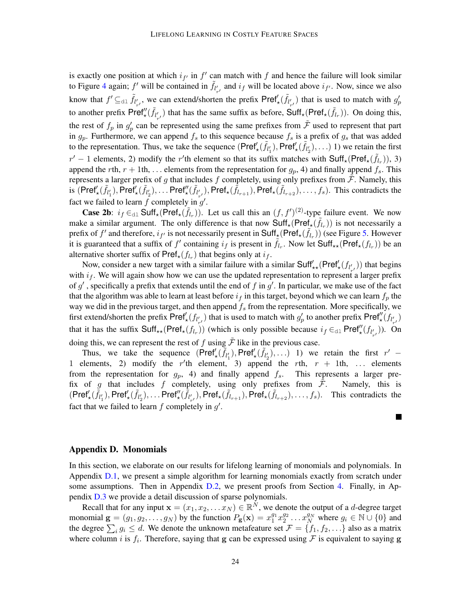is exactly one position at which  $i_{f'}$  in  $f'$  can match with f and hence the failure will look similar to Figure [4](#page-22-0) again; f' will be contained in  $\tilde{f}_{l'_{r'}}$  and  $i_f$  will be located above  $i_{f'}$ . Now, since we also know that  $f' \subseteq_{d} E \tilde{f}_{l'_{r'}}$ , we can extend/shorten the prefix  $\text{Pref}'_{\star}(\tilde{f}_{l'_{r'}})$  that is used to match with  $g'_{p'}$ to another prefix  $\text{Pref}''_{\star}(\tilde{f}_{l'_{r'}})$  that has the same suffix as before,  $\text{Suff}_{\star}(\text{Pref}_{\star}(\tilde{f}_{l_r}))$ . On doing this, the rest of  $f_p$  in  $g'_p$  can be represented using the same prefixes from  $\tilde{\mathcal{F}}$  used to represent that part in  $g_p$ . Furthermore, we can append  $f_s$  to this sequence because  $f_s$  is a prefix of  $g_s$  that was added to the representation. Thus, we take the sequence  $(Pref'_{\star}(\tilde{f}_{l'_1}), Pref'_{\star}(\tilde{f}_{l'_2}),...)$  we retain the first  $r' - 1$  elements, 2) modify the r'th element so that its suffix matches with  $\text{Suff}_\star(\text{Pref}_\star(\tilde{f}_{l_r}))$ , 3) append the rth,  $r + 1$ th, ... elements from the representation for  $g_p$ , 4) and finally append  $f_s$ . This represents a larger prefix of g that includes f completely, using only prefixes from  $\mathcal{F}$ . Namely, this is  $(\mathsf{Pref}'_{\star}(\tilde{f}_{l'_1}), \mathsf{Pref}'_{\star}(\tilde{f}_{l'_2}), \ldots \mathsf{Pref}'_{\star}(\tilde{f}_{l'_{r'}}), \mathsf{Pref}_{\star}(\tilde{f}_{l_{r+1}}), \mathsf{Pref}_{\star}(\tilde{f}_{l_{r+2}}), \ldots, f_s)$ . This contradicts the fact we failed to learn f completely in  $g'$ .

**Case 2b**:  $i_f \in \text{cl}$  Suff<sub>\*</sub>( $\overline{P}$ ref<sub>\*</sub>( $\overline{f}_{l_r}$ )). Let us call this an  $(f, f')^{(2)}$ -type failure event. We now make a similar argument. The only difference is that now  $\text{Suff}_{\star}(\text{Pref}_{\star}(\tilde{f}_{l_r}))$  is not necessarily a prefix of  $f'$  and therefore,  $i_{f'}$  is not necessarily present in Suff<sub>\*</sub>(Pref<sub>\*</sub>( $\tilde{f}_{l_r}$ )) (see Figure [5.](#page-24-0) However it is guaranteed that a suffix of  $f'$  containing  $i_f$  is present in  $\tilde{f}_{l_r}$ . Now let Suff<sub>\*\*</sub>(Pref<sub>\*</sub>( $f_{l_r}$ )) be an alternative shorter suffix of  $\mathsf{Pref}_\star(f_{l_r})$  that begins only at  $i_f$ .

Now, consider a new target with a similar failure with a similar  $\text{Suff}'_{\star\star}(\text{Pref}'_{\star}(f_{l'_{r'}}))$  that begins with  $i_f$ . We will again show how we can use the updated representation to represent a larger prefix of  $g'$ , specifically a prefix that extends until the end of f in  $g'$ . In particular, we make use of the fact that the algorithm was able to learn at least before  $i_f$  in this target, beyond which we can learn  $f_p$  the way we did in the previous target, and then append  $f_s$  from the representation. More specifically, we first extend/shorten the prefix  $\text{Pref}'_{\star}(f_{l'_{r'}})$  that is used to match with  $g'_p$  to another prefix  $\text{Pref}''_{\star}(f_{l'_{r'}})$ that it has the suffix  $\text{Suff}_{\star\star}(\text{Pref}_{\star}(f_{l_r}))$  (which is only possible because  $i_f \in_{\text{cl}} \text{Pref}''_{\star}(f_{l'_{r'}})$ ). On doing this, we can represent the rest of f using  $\mathcal F$  like in the previous case.

Thus, we take the sequence  $(Pref'_{\star}(\tilde{f}_{l'_{1}}), Pref'_{\star}(\tilde{f}_{l'_{2}}),...)$  1) we retain the first  $r'$  – 1 elements, 2) modify the r'th element, 3) append the rth,  $r + 1$ th, ... elements from the representation for  $g_p$ , 4) and finally append  $f_s$ . This represents a larger prefix of g that includes f completely, using only prefixes from  $\mathcal{F}$ . Namely, this is  $(\text{Pref}'_{\star}(\tilde{f}_{l'_1}), \text{Pref}'_{\star}(\tilde{f}_{l'_2}), \dots \text{Pref}'_{\star}(\tilde{f}_{l'_{r'}}), \text{Pref}_{\star}(\tilde{f}_{l_{r+1}}), \text{Pref}_{\star}(\tilde{f}_{l_{r+2}}), \dots, f_s).$  This contradicts the fact that we failed to learn  $f$  completely in  $g'$ .

П

#### <span id="page-23-0"></span>Appendix D. Monomials

In this section, we elaborate on our results for lifelong learning of monomials and polynomials. In Appendix [D.1,](#page-24-1) we present a simple algorithm for learning monomials exactly from scratch under some assumptions. Then in Appendix [D.2,](#page-27-1) we present proofs from Section [4.](#page-8-0) Finally, in Appendix [D.3](#page-29-3) we provide a detail discussion of sparse polynomials.

Recall that for any input  $\mathbf{x} = (x_1, x_2, \dots x_N) \in \mathbb{R}^N$ , we denote the output of a *d*-degree target monomial  $\mathbf{g} = (g_1, g_2, \dots, g_N)$  by the function  $P_{\mathbf{g}}(\mathbf{x}) = x_1^{g_1} x_2^{g_2} \dots x_N^{g_N}$  where  $g_i \in \mathbb{N} \cup \{0\}$  and the degree  $\sum_i g_i \leq d$ . We denote the unknown metafeature set  $\mathcal{F} = \{f_1, f_2, \ldots\}$  also as a matrix where column *i* is  $f_i$ . Therefore, saying that g can be expressed using  $\mathcal F$  is equivalent to saying g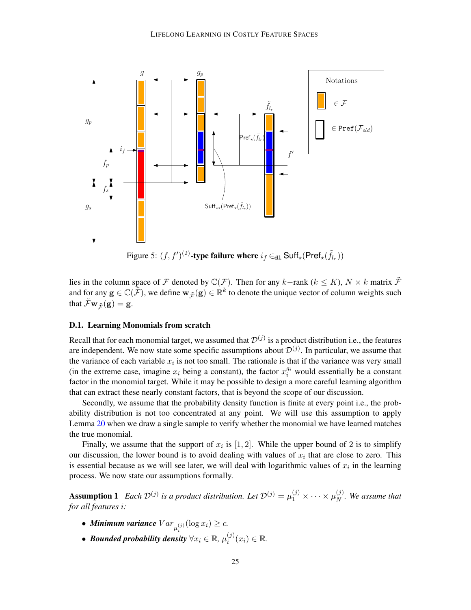<span id="page-24-0"></span>

Figure 5:  $(f, f')^{(2)}$ -type failure where  $i_f \in_{d_l} \text{Suff}_{\star}(\text{Pref}_{\star}(\tilde{f}_{l_r}))$ 

lies in the column space of F denoted by  $\mathbb{C}(\mathcal{F})$ . Then for any k–rank ( $k \leq K$ ),  $N \times k$  matrix  $\tilde{\mathcal{F}}$ and for any  $g \in \mathbb{C}(\tilde{\mathcal{F}})$ , we define  $w_{\tilde{\mathcal{F}}}(g) \in \mathbb{R}^k$  to denote the unique vector of column weights such that  $\tilde{\mathcal{F}}\mathbf{w}_{\tilde{\mathcal{F}}}(\mathbf{g}) = \mathbf{g}$ .

### <span id="page-24-1"></span>D.1. Learning Monomials from scratch

Recall that for each monomial target, we assumed that  $\mathcal{D}^{(j)}$  is a product distribution i.e., the features are independent. We now state some specific assumptions about  $\mathcal{D}^{(j)}$ . In particular, we assume that the variance of each variable  $x_i$  is not too small. The rationale is that if the variance was very small (in the extreme case, imagine  $x_i$  being a constant), the factor  $x_i^{g_i}$  would essentially be a constant factor in the monomial target. While it may be possible to design a more careful learning algorithm that can extract these nearly constant factors, that is beyond the scope of our discussion.

Secondly, we assume that the probability density function is finite at every point i.e., the probability distribution is not too concentrated at any point. We will use this assumption to apply Lemma [20](#page-29-2) when we draw a single sample to verify whether the monomial we have learned matches the true monomial.

Finally, we assume that the support of  $x_i$  is  $[1, 2]$ . While the upper bound of 2 is to simplify our discussion, the lower bound is to avoid dealing with values of  $x_i$  that are close to zero. This is essential because as we will see later, we will deal with logarithmic values of  $x_i$  in the learning process. We now state our assumptions formally.

**Assumption 1** Each  $\mathcal{D}^{(j)}$  is a product distribution. Let  $\mathcal{D}^{(j)} = \mu_1^{(j)} \times \cdots \times \mu_N^{(j)}$  $_N^{(j)}$ . We assume that *for all features* i*:*

- *Minimum variance*  $Var_{\mu_i^{(j)}}(\log x_i) \geq c$ .
- *Bounded probability density*  $\forall x_i \in \mathbb{R}$ ,  $\mu_i^{(j)}$  $i^{(j)}(x_i) \in \mathbb{R}$ .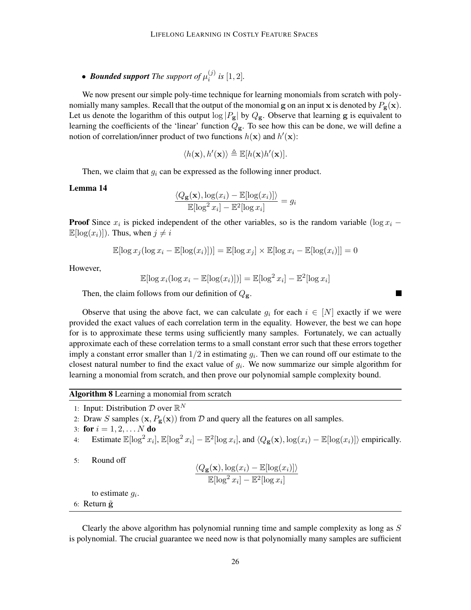• **Bounded support** The support of  $\mu_i^{(j)}$  $i^{(J)}$  is [1, 2].

We now present our simple poly-time technique for learning monomials from scratch with polynomially many samples. Recall that the output of the monomial g on an input x is denoted by  $P_{\bf g}({\bf x})$ . Let us denote the logarithm of this output  $\log |P_{g}|$  by  $Q_{g}$ . Observe that learning g is equivalent to learning the coefficients of the 'linear' function  $Q_{\rm g}$ . To see how this can be done, we will define a notion of correlation/inner product of two functions  $h(\mathbf{x})$  and  $h'(\mathbf{x})$ :

$$
\langle h(\mathbf{x}), h'(\mathbf{x}) \rangle \triangleq \mathbb{E}[h(\mathbf{x})h'(\mathbf{x})].
$$

Then, we claim that  $g_i$  can be expressed as the following inner product.

### Lemma 14

$$
\frac{\langle Q_{\mathbf{g}}(\mathbf{x}), \log(x_i) - \mathbb{E}[\log(x_i)] \rangle}{\mathbb{E}[\log^2 x_i] - \mathbb{E}^2[\log x_i]} = g_i
$$

**Proof** Since  $x_i$  is picked independent of the other variables, so is the random variable ( $\log x_i$  –  $\mathbb{E}[\log(x_i)]$ . Thus, when  $j \neq i$ 

$$
\mathbb{E}[\log x_j(\log x_i - \mathbb{E}[\log(x_i)])] = \mathbb{E}[\log x_j] \times \mathbb{E}[\log x_i - \mathbb{E}[\log(x_i)]] = 0
$$

However,

$$
\mathbb{E}[\log x_i(\log x_i - \mathbb{E}[\log(x_i)])] = \mathbb{E}[\log^2 x_i] - \mathbb{E}^2[\log x_i]
$$

Then, the claim follows from our definition of  $Q_{\rm g}$ .

Observe that using the above fact, we can calculate  $g_i$  for each  $i \in [N]$  exactly if we were provided the exact values of each correlation term in the equality. However, the best we can hope for is to approximate these terms using sufficiently many samples. Fortunately, we can actually approximate each of these correlation terms to a small constant error such that these errors together imply a constant error smaller than  $1/2$  in estimating  $g_i$ . Then we can round off our estimate to the closest natural number to find the exact value of  $g_i$ . We now summarize our simple algorithm for learning a monomial from scratch, and then prove our polynomial sample complexity bound.

## <span id="page-25-0"></span>Algorithm 8 Learning a monomial from scratch

- 1: Input: Distribution  $D$  over  $\mathbb{R}^N$
- 2: Draw S samples  $(x, P_g(x))$  from D and query all the features on all samples.
- 3: for  $i = 1, 2, ... N$  do
- 4: Estimate  $\mathbb{E}[\log^2 x_i]$ ,  $\mathbb{E}[\log^2 x_i] \mathbb{E}^2[\log x_i]$ , and  $\langle Q_{\mathbf{g}}(\mathbf{x}), \log(x_i) \mathbb{E}[\log(x_i)] \rangle$  empirically.
- 5: Round off

$$
\frac{\langle Q_{\mathbf{g}}(\mathbf{x}), \log(x_i) - \mathbb{E}[\log(x_i)] \rangle}{\mathbb{E}[\log^2 x_i] - \mathbb{E}^2[\log x_i]}
$$

to estimate  $g_i$ .

6: Return  $\tilde{g}$ 

Clearly the above algorithm has polynomial running time and sample complexity as long as S is polynomial. The crucial guarantee we need now is that polynomially many samples are sufficient

<span id="page-25-1"></span>**The State**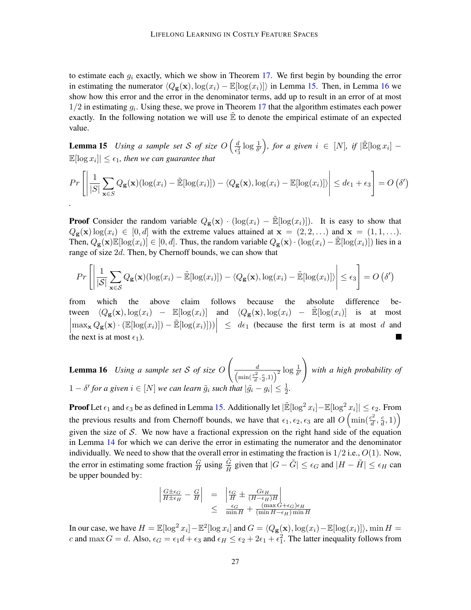to estimate each  $g_i$  exactly, which we show in Theorem [17.](#page-27-2) We first begin by bounding the error in estimating the numerator  $\langle Q_{\mathbf{g}}(\mathbf{x}), \log(x_i) - \mathbb{E}[\log(x_i)] \rangle$  in Lemma [15.](#page-26-1) Then, in Lemma [16](#page-26-0) we show how this error and the error in the denominator terms, add up to result in an error of at most  $1/2$  in estimating  $g_i$ . Using these, we prove in Theorem [17](#page-27-2) that the algorithm estimates each power exactly. In the following notation we will use  $E$  to denote the empirical estimate of an expected value.

<span id="page-26-1"></span>**Lemma 15** *Using a sample set S of size*  $O\left(\frac{d}{d^2}\right)$  $\frac{d}{\epsilon_3^2} \log \frac{1}{\delta'}\Big)$ , for a given  $i \in [N]$ , if  $|\tilde{\mathbb{E}}[\log x_i]$  –  $\mathbb{E}[\log x_i]| \leq \epsilon_1$ , then we can guarantee that

$$
Pr\left[\left|\frac{1}{|S|}\sum_{\mathbf{x}\in S}Q_{\mathbf{g}}(\mathbf{x})(\log(x_i)-\tilde{\mathbb{E}}[\log(x_i)])-\langle Q_{\mathbf{g}}(\mathbf{x}),\log(x_i)-\mathbb{E}[\log(x_i)]\rangle\right|\leq d\epsilon_1+\epsilon_3\right]=O\left(\delta'\right)
$$

**Proof** Consider the random variable  $Q_{\mathbf{g}}(\mathbf{x}) \cdot (\log(x_i) - \tilde{\mathbb{E}}[\log(x_i)])$ . It is easy to show that  $Q_{\mathbf{g}}(\mathbf{x}) \log(x_i) \in [0, d]$  with the extreme values attained at  $\mathbf{x} = (2, 2, ...)$  and  $\mathbf{x} = (1, 1, ...)$ . Then,  $Q_{\mathbf{g}}(\mathbf{x})\mathbb{E}[\log(x_i)] \in [0, d]$ . Thus, the random variable  $Q_{\mathbf{g}}(\mathbf{x}) \cdot (\log(x_i) - \mathbb{E}[\log(x_i)])$  lies in a range of size 2d. Then, by Chernoff bounds, we can show that

$$
Pr\left[\left|\frac{1}{|\mathcal{S}|}\sum_{\mathbf{x}\in\mathcal{S}}Q_{\mathbf{g}}(\mathbf{x})(\log(x_i)-\tilde{\mathbb{E}}[\log(x_i)])-\langle Q_{\mathbf{g}}(\mathbf{x}),\log(x_i)-\tilde{\mathbb{E}}[\log(x_i)]\rangle\right|\leq\epsilon_3\right]=O\left(\delta'\right)
$$

from which the above claim follows because the absolute difference between  $\langle Q_{\mathbf{g}}(\mathbf{x}), \log(x_i) - \mathbb{E}[\log(x_i)]$  and  $\langle Q_{\mathbf{g}}(\mathbf{x}), \log(x_i) - \mathbb{E}[\log(x_i)]$  is at most  $\left|\max_{\mathbf{x}} Q_{\mathbf{g}}(\mathbf{x}) \cdot (\mathbb{E}[\log(x_i)]) - \mathbb{E}[\log(x_i)]\right| \leq d\epsilon_1$  (because the first term is at most d and the next is at most  $\epsilon_1$ ).

<span id="page-26-0"></span>Lemma 16 *Using a sample set* S *of size* O  $\begin{pmatrix} a & b \\ c & d \end{pmatrix}$  $\frac{d}{\left(\min(\frac{c^2}{d}, \frac{c}{d}, 1)\right)^2} \log \frac{1}{\delta'}$  $\setminus$ *with a high probability of*  $1 - \delta'$  for a given  $i \in [N]$  we can learn  $\tilde{g}_i$  such that  $|\tilde{g}_i - g_i| \leq \frac{1}{2}$ .

**Proof** Let  $\epsilon_1$  and  $\epsilon_3$  be as defined in Lemma [15.](#page-26-1) Additionally let  $|\tilde{E}[\log^2 x_i] - \mathbb{E}[\log^2 x_i]| \le \epsilon_2$ . From the previous results and from Chernoff bounds, we have that  $\epsilon_1, \epsilon_2, \epsilon_3$  are all  $O\left(\min(\frac{c^2}{d})\right)$  $\frac{c^2}{d}, \frac{c}{d}$  $\left(\frac{c}{d},1)\right)$ given the size of  $S$ . We now have a fractional expression on the right hand side of the equation in Lemma [14](#page-25-1) for which we can derive the error in estimating the numerator and the denominator individually. We need to show that the overall error in estimating the fraction is  $1/2$  i.e.,  $O(1)$ . Now, the error in estimating some fraction  $\frac{G}{H}$  using  $\frac{\tilde{G}}{H}$  given that  $|G - \tilde{G}| \leq \epsilon_G$  and  $|H - \tilde{H}| \leq \epsilon_H$  can be upper bounded by:

$$
\begin{array}{rcl}\n\left| \frac{G \pm \epsilon_G}{H \pm \epsilon_H} - \frac{G}{H} \right| & = & \left| \frac{\epsilon_G}{H} \pm \frac{G \epsilon_H}{(H - \epsilon_H)H} \right| \\
& \leq & \frac{\epsilon_G}{\min H} + \frac{(\max G + \epsilon_G)\epsilon_H}{(\min H - \epsilon_H) \min H}\n\end{array}
$$

In our case, we have  $H = \mathbb{E}[\log^2 x_i] - \mathbb{E}^2[\log x_i]$  and  $G = \langle Q_{\mathbf{g}}(\mathbf{x}), \log(x_i) - \mathbb{E}[\log(x_i)] \rangle$ , min  $H =$ c and max  $G = d$ . Also,  $\epsilon_G = \epsilon_1 d + \epsilon_3$  and  $\epsilon_H \leq \epsilon_2 + 2\epsilon_1 + \epsilon_1^2$ . The latter inequality follows from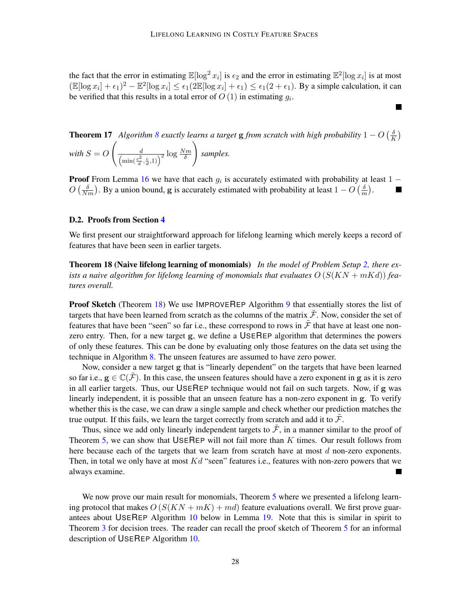the fact that the error in estimating  $\mathbb{E}[\log^2 x_i]$  is  $\epsilon_2$  and the error in estimating  $\mathbb{E}^2[\log x_i]$  is at most  $(\mathbb{E}[\log x_i] + \epsilon_1)^2 - \mathbb{E}^2[\log x_i] \leq \epsilon_1(2\mathbb{E}[\log x_i] + \epsilon_1) \leq \epsilon_1(2 + \epsilon_1)$ . By a simple calculation, it can be verified that this results in a total error of  $O(1)$  in estimating  $g_i$ .

**The State** 

<span id="page-27-2"></span>**Theorem 17** Algorithm [8](#page-25-0) exactly learns a target **g** from scratch with high probability  $1 - O\left(\frac{\delta}{K}\right)$  $\frac{\delta}{K}$ *with*  $S = O$  $\begin{pmatrix} a & b \\ c & d \end{pmatrix}$  $\frac{d}{\left(\min(\frac{c^2}{d}, \frac{c}{d}, 1)\right)^2} \log \frac{Nm}{\delta}$  $\setminus$ *samples.*

**Proof** From Lemma [16](#page-26-0) we have that each  $g_i$  is accurately estimated with probability at least 1 –  $O\left(\frac{\delta}{Nm}\right)$ . By a union bound, g is accurately estimated with probability at least  $1 - O\left(\frac{\delta}{m}\right)$  $\frac{\delta}{m}$ ).

### <span id="page-27-1"></span>D.2. Proofs from Section [4](#page-8-0)

We first present our straightforward approach for lifelong learning which merely keeps a record of features that have been seen in earlier targets.

<span id="page-27-0"></span>Theorem 18 (Naive lifelong learning of monomials) *In the model of Problem Setup [2,](#page-9-0) there ex*ists a naive algorithm for lifelong learning of monomials that evaluates  $O(S(KN + mKd))$  fea*tures overall.*

**Proof Sketch** (Theorem [18\)](#page-27-0) We use IMPROVEREP Algorithm [9](#page-29-1) that essentially stores the list of targets that have been learned from scratch as the columns of the matrix  $\tilde{\mathcal{F}}$ . Now, consider the set of features that have been "seen" so far i.e., these correspond to rows in  $\tilde{\mathcal{F}}$  that have at least one nonzero entry. Then, for a new target g, we define a USEREP algorithm that determines the powers of only these features. This can be done by evaluating only those features on the data set using the technique in Algorithm [8.](#page-25-0) The unseen features are assumed to have zero power.

Now, consider a new target g that is "linearly dependent" on the targets that have been learned so far i.e.,  $g \in \mathbb{C}(\mathcal{F})$ . In this case, the unseen features should have a zero exponent in g as it is zero in all earlier targets. Thus, our USEREP technique would not fail on such targets. Now, if g was linearly independent, it is possible that an unseen feature has a non-zero exponent in g. To verify whether this is the case, we can draw a single sample and check whether our prediction matches the true output. If this fails, we learn the target correctly from scratch and add it to  $\tilde{\mathcal{F}}$ .

Thus, since we add only linearly independent targets to  $\tilde{\mathcal{F}}$ , in a manner similar to the proof of Theorem [5,](#page-9-1) we can show that USEREP will not fail more than  $K$  times. Our result follows from here because each of the targets that we learn from scratch have at most  $d$  non-zero exponents. Then, in total we only have at most  $Kd$  "seen" features i.e., features with non-zero powers that we always examine.  $\blacksquare$ 

<span id="page-27-3"></span>We now prove our main result for monomials, Theorem [5](#page-9-1) where we presented a lifelong learning protocol that makes  $O(S(KN + mK) + md)$  feature evaluations overall. We first prove guarantees about USEREP Algorithm [10](#page-29-0) below in Lemma [19.](#page-27-3) Note that this is similar in spirit to Theorem [3](#page-6-5) for decision trees. The reader can recall the proof sketch of Theorem [5](#page-9-1) for an informal description of USEREP Algorithm [10.](#page-29-0)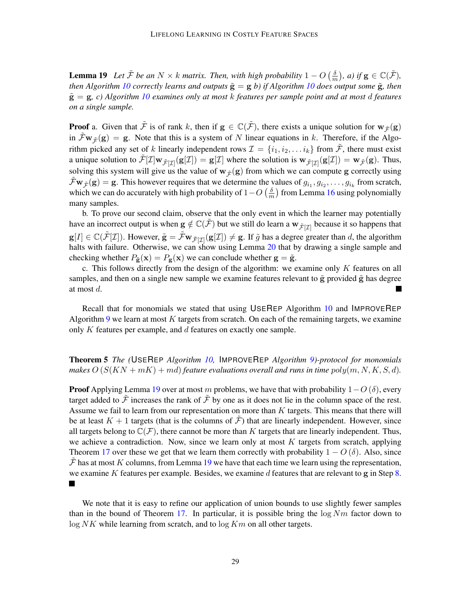**Lemma 19** Let  $\tilde{\mathcal{F}}$  be an  $N \times k$  matrix. Then, with high probability  $1 - O\left(\frac{\delta}{n}\right)$  $\frac{\delta}{m}$ , a) if  $\mathbf{g} \in \mathbb{C}(\tilde{\mathcal{F}})$ , *then Algorithm [10](#page-29-0) correctly learns and outputs*  $\tilde{g} = g b$  *if Algorithm 10 does output some*  $\tilde{g}$ *, then* g˜ = g*, c) Algorithm [10](#page-29-0) examines only at most* k *features per sample point and at most* d *features on a single sample.*

**Proof** a. Given that  $\tilde{\mathcal{F}}$  is of rank k, then if  $g \in \mathbb{C}(\tilde{\mathcal{F}})$ , there exists a unique solution for  $w_{\tilde{\mathcal{F}}}(g)$ in  $\tilde{\mathcal{F}}w_{\tilde{\mathcal{F}}}(\mathbf{g}) = \mathbf{g}$ . Note that this is a system of N linear equations in k. Therefore, if the Algorithm picked any set of k linearly independent rows  $\mathcal{I} = \{i_1, i_2, \dots i_k\}$  from  $\tilde{\mathcal{F}}$ , there must exist a unique solution to  $\tilde{\mathcal{F}}[\mathcal{I}]\mathbf{w}_{\tilde{\mathcal{F}}[\mathcal{I}]}(\mathbf{g}[\mathcal{I}]) = \mathbf{g}[\mathcal{I}]$  where the solution is  $\mathbf{w}_{\tilde{\mathcal{F}}[\mathcal{I}]}(\mathbf{g}[\mathcal{I}]) = \mathbf{w}_{\tilde{\mathcal{F}}}(\mathbf{g})$ . Thus, solving this system will give us the value of  $w_{\tilde{\mathcal{F}}}(\mathbf{g})$  from which we can compute g correctly using  $\tilde{\mathcal{F}}w_{\tilde{\mathcal{F}}}(\mathbf{g}) = \mathbf{g}$ . This however requires that we determine the values of  $g_{i_1}, g_{i_2}, \ldots, g_{i_k}$  from scratch, which we can do accurately with high probability of  $1-O\left(\frac{\delta}{n}\right)$  $\frac{\delta}{m}$ ) from Lemma [16](#page-26-0) using polynomially many samples.

b. To prove our second claim, observe that the only event in which the learner may potentially have an incorrect output is when  $g \notin \mathbb{C}(\tilde{\mathcal{F}})$  but we still do learn a  $w_{\tilde{\mathcal{F}}[\mathcal{I}]}$  because it so happens that  $g[I] \in \mathbb{C}(\tilde{\mathcal{F}}[\mathcal{I}])$ . However,  $\tilde{g} = \tilde{\mathcal{F}} \mathbf{w}_{\tilde{\mathcal{F}}[\mathcal{I}]}(g[\mathcal{I}]) \neq g$ . If  $\tilde{g}$  has a degree greater than d, the algorithm halts with failure. Otherwise, we can show using Lemma [20](#page-29-2) that by drawing a single sample and checking whether  $P_{\tilde{\mathbf{g}}}(\mathbf{x}) = P_{\mathbf{g}}(\mathbf{x})$  we can conclude whether  $\mathbf{g} = \tilde{\mathbf{g}}$ .

c. This follows directly from the design of the algorithm: we examine only  $K$  features on all samples, and then on a single new sample we examine features relevant to  $\tilde{g}$  provided  $\tilde{g}$  has degree at most d.

Recall that for monomials we stated that using USEREP Algorithm [10](#page-29-0) and IMPROVEREP Algorithm [9](#page-29-1) we learn at most  $K$  targets from scratch. On each of the remaining targets, we examine only  $K$  features per example, and  $d$  features on exactly one sample.

Theorem 5 *The (*USEREP *Algorithm [10,](#page-29-0)* IMPROVEREP *Algorithm [9\)](#page-29-1)-protocol for monomials makes*  $O(S(KN + mK) + md)$  *feature evaluations overall and runs in time poly* $(m, N, K, S, d)$ *.* 

**Proof** Applying Lemma [19](#page-27-3) over at most m problems, we have that with probability  $1-O(\delta)$ , every target added to F increases the rank of F by one as it does not lie in the column space of the rest. Assume we fail to learn from our representation on more than  $K$  targets. This means that there will be at least  $K + 1$  targets (that is the columns of  $\mathcal{F}$ ) that are linearly independent. However, since all targets belong to  $\mathbb{C}(\mathcal{F})$ , there cannot be more than K targets that are linearly independent. Thus, we achieve a contradiction. Now, since we learn only at most  $K$  targets from scratch, applying Theorem [17](#page-27-2) over these we get that we learn them correctly with probability  $1 - O(\delta)$ . Also, since  $\mathcal F$  has at most K columns, from Lemma [19](#page-27-3) we have that each time we learn using the representation, we examine K features per example. Besides, we examine d features that are relevant to  $g$  in Step [8.](#page-29-4)  $\blacksquare$ 

We note that it is easy to refine our application of union bounds to use slightly fewer samples than in the bound of Theorem [17.](#page-27-2) In particular, it is possible bring the  $\log Nm$  factor down to  $\log NK$  while learning from scratch, and to  $\log Km$  on all other targets.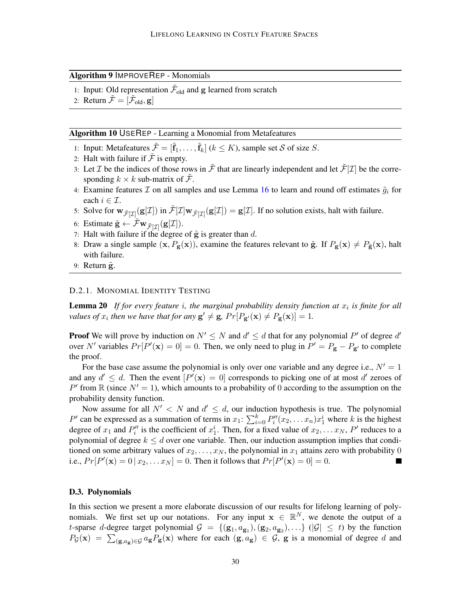### <span id="page-29-1"></span>Algorithm 9 IMPROVEREP - Monomials

- 1: Input: Old representation  $\tilde{\mathcal{F}}_{old}$  and g learned from scratch
- 2: Return  $\tilde{\mathcal{F}} = [\tilde{\mathcal{F}}_{old}, \mathbf{g}]$

#### <span id="page-29-0"></span>Algorithm 10 USEREP - Learning a Monomial from Metafeatures

- 1: Input: Metafeatures  $\tilde{\mathcal{F}} = [\tilde{\mathbf{f}}_1, \dots, \tilde{\mathbf{f}}_k]$  ( $k \leq K$ ), sample set S of size S.
- 2: Halt with failure if  $\tilde{\mathcal{F}}$  is empty.
- 3: Let *I* be the indices of those rows in  $\tilde{\mathcal{F}}$  that are linearly independent and let  $\tilde{\mathcal{F}}[I]$  be the corresponding  $k \times k$  sub-matrix of  $\mathcal{F}$ .
- 4: Examine features  $\mathcal I$  on all samples and use Lemma [16](#page-26-0) to learn and round off estimates  $\tilde g_i$  for each  $i \in \mathcal{I}$ .
- 5: Solve for  $\mathbf{w}_{\tilde{\mathcal{F}}[\mathcal{I}]}(\mathbf{g}[\mathcal{I}])$  in  $\tilde{\mathcal{F}}[\mathcal{I}]\mathbf{w}_{\tilde{\mathcal{F}}[\mathcal{I}]}(\mathbf{g}[\mathcal{I}]) = \mathbf{g}[\mathcal{I}].$  If no solution exists, halt with failure.
- <span id="page-29-4"></span>6: Estimate  $\tilde{\mathbf{g}} \leftarrow \tilde{\mathcal{F}} \mathbf{w}_{\tilde{\mathcal{F}}[\mathcal{I}]}(\mathbf{g}[\mathcal{I}]).$
- 7: Halt with failure if the degree of  $\tilde{g}$  is greater than d.
- 8: Draw a single sample  $(x, P_g(x))$ , examine the features relevant to  $\tilde{g}$ . If  $P_g(x) \neq P_{\tilde{g}}(x)$ , halt with failure.
- 9: Return  $\tilde{g}$ .

## D.2.1. MONOMIAL IDENTITY TESTING

<span id="page-29-2"></span>**Lemma 20** If for every feature *i*, the marginal probability density function at  $x_i$  is finite for all *values of*  $x_i$  then we have that for any  $\mathbf{g}' \neq \mathbf{g}$ ,  $Pr[P_{\mathbf{g}'}(\mathbf{x}) \neq P_{\mathbf{g}}(\mathbf{x})] = 1$ .

**Proof** We will prove by induction on  $N' \leq N$  and  $d' \leq d$  that for any polynomial P' of degree  $d'$ over N' variables  $Pr[P'(\mathbf{x}) = 0] = 0$ . Then, we only need to plug in  $P' = P_{\mathbf{g}} - P_{\mathbf{g}'}$  to complete the proof.

For the base case assume the polynomial is only over one variable and any degree i.e.,  $N' = 1$ and any  $d' \leq d$ . Then the event  $[P'(\mathbf{x}) = 0]$  corresponds to picking one of at most d' zeroes of P' from  $\mathbb R$  (since  $N' = 1$ ), which amounts to a probability of 0 according to the assumption on the probability density function.

Now assume for all  $N' < N$  and  $d' \leq d$ , our induction hypothesis is true. The polynomial P' can be expressed as a summation of terms in  $x_1: \sum_{i=0}^k P''_i(x_2, \ldots, x_n) x_1^i$  where k is the highest degree of  $x_1$  and  $P''_i$  is the coefficient of  $x_1^i$ . Then, for a fixed value of  $x_2, \ldots x_N$ ,  $P'$  reduces to a polynomial of degree  $k \leq d$  over one variable. Then, our induction assumption implies that conditioned on some arbitrary values of  $x_2, \ldots, x_N$ , the polynomial in  $x_1$  attains zero with probability 0 i.e.,  $Pr[P'(\mathbf{x}) = 0 | x_2, ... x_N] = 0$ . Then it follows that  $Pr[P'(\mathbf{x}) = 0] = 0$ .

#### <span id="page-29-3"></span>D.3. Polynomials

In this section we present a more elaborate discussion of our results for lifelong learning of polynomials. We first set up our notations. For any input  $x \in \mathbb{R}^N$ , we denote the output of a t-sparse d-degree target polynomial  $G = \{(\mathbf{g}_1, a_{\mathbf{g}_1}), (\mathbf{g}_2, a_{\mathbf{g}_2}), \ldots\}$  ( $|G| \leq t$ ) by the function  $P_G(\mathbf{x}) = \sum_{(\mathbf{g},a_{\mathbf{g}})\in\mathcal{G}} a_{\mathbf{g}} P_{\mathbf{g}}(\mathbf{x})$  where for each  $(\mathbf{g},a_{\mathbf{g}})\in\mathcal{G}$ ,  $\mathbf{g}$  is a monomial of degree d and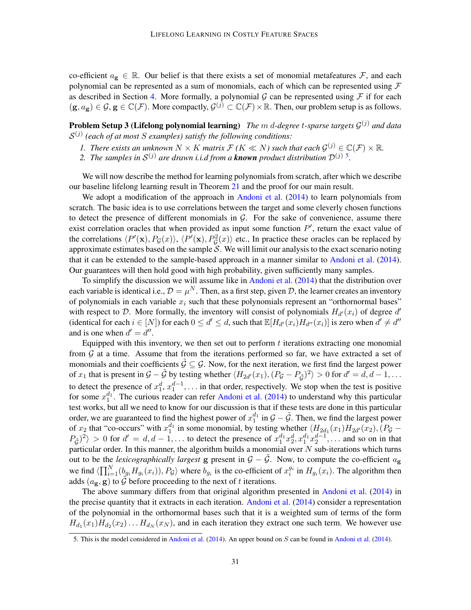co-efficient  $a_{\mathbf{g}} \in \mathbb{R}$ . Our belief is that there exists a set of monomial metafeatures F, and each polynomial can be represented as a sum of monomials, each of which can be represented using  $\mathcal F$ as described in Section [4.](#page-8-0) More formally, a polynomial  $\mathcal G$  can be represented using  $\mathcal F$  if for each  $(\mathbf{g}, a_{\mathbf{g}}) \in \mathcal{G}, \mathbf{g} \in \mathbb{C}(\mathcal{F})$ . More compactly,  $\mathcal{G}^{(j)} \subset \mathbb{C}(\mathcal{F}) \times \mathbb{R}$ . Then, our problem setup is as follows.

<span id="page-30-1"></span>Problem Setup 3 (Lifelong polynomial learning) *The* m d*-degree* t*-sparse targets* G (j) *and data* S (j) *(each of at most* S *examples) satisfy the following conditions:*

- *1. There exists an unknown*  $N \times K$  *matrix*  $\mathcal{F}$  ( $K \ll N$ ) such that each  $\mathcal{G}^{(j)} \in \mathbb{C}(\mathcal{F}) \times \mathbb{R}$ .
- 2. The samples in  $S^{(j)}$  are drawn i.i.d from a **known** product distribution  $\mathcal{D}^{(j)}$  <sup>[5](#page-30-0)</sup>.

We will now describe the method for learning polynomials from scratch, after which we describe our baseline lifelong learning result in Theorem [21](#page-31-0) and the proof for our main result.

We adopt a modification of the approach in [Andoni et al.](#page-12-1) [\(2014\)](#page-12-1) to learn polynomials from scratch. The basic idea is to use correlations between the target and some cleverly chosen functions to detect the presence of different monomials in  $G$ . For the sake of convenience, assume there exist correlation oracles that when provided as input some function  $P'$ , return the exact value of the correlations  $\langle P'(\mathbf{x}), P_{\mathcal{G}}(x)\rangle$ ,  $\langle P'(\mathbf{x}), P_{\mathcal{G}}^2(x)\rangle$  etc., In practice these oracles can be replaced by approximate estimates based on the sample  $S$ . We will limit our analysis to the exact scenario noting that it can be extended to the sample-based approach in a manner similar to [Andoni et al.](#page-12-1) [\(2014\)](#page-12-1). Our guarantees will then hold good with high probability, given sufficiently many samples.

To simplify the discussion we will assume like in [Andoni et al.](#page-12-1)  $(2014)$  that the distribution over each variable is identical i.e.,  $\mathcal{D} = \mu^N$ . Then, as a first step, given  $\mathcal{D}$ , the learner creates an inventory of polynomials in each variable  $x_i$  such that these polynomials represent an "orthornormal bases" with respect to D. More formally, the inventory will consist of polynomials  $H_{d'}(x_i)$  of degree  $d'$ (identical for each  $i \in [N]$ ) for each  $0 \le d' \le d$ , such that  $\mathbb{E}[H_{d'}(x_i)H_{d''}(x_i)]$  is zero when  $d' \ne d''$ and is one when  $d' = d''$ .

Equipped with this inventory, we then set out to perform  $t$  iterations extracting one monomial from  $G$  at a time. Assume that from the iterations performed so far, we have extracted a set of monomials and their coefficients  $\tilde{G} \subseteq G$ . Now, for the next iteration, we first find the largest power of  $x_1$  that is present in  $\mathcal{G} - \tilde{\mathcal{G}}$  by testing whether  $\langle H_{2d'}(x_1), (P_{\mathcal{G}} - P_{\tilde{\mathcal{G}}})^2 \rangle > 0$  for  $d' = d, d - 1, \dots$ to detect the presence of  $x_1^d, x_1^{d-1}, \ldots$  in that order, respectively. We stop when the test is positive for some  $x_1^{d_1}$ . The curious reader can refer [Andoni et al.](#page-12-1) [\(2014\)](#page-12-1) to understand why this particular test works, but all we need to know for our discussion is that if these tests are done in this particular order, we are guaranteed to find the highest power of  $x_1^{d_1}$  in  $\mathcal{G} - \tilde{\mathcal{G}}$ . Then, we find the largest power of  $x_2$  that "co-occurs" with  $x_1^{d_1}$  in some monomial, by testing whether  $\langle H_{2d_1}(x_1)H_{2d'}(x_2), (P_g |P_{\tilde{G}}|^2$  > 0 for  $d' = d, d - 1, \ldots$  to detect the presence of  $x_1^{d_1} x_2^{d_2} x_1^{d_1} x_2^{d-1}$ , ... and so on in that particular order. In this manner, the algorithm builds a monomial over  $N$  sub-iterations which turns out to be the *lexicographically largest* g present in  $G - \tilde{G}$ . Now, to compute the co-efficient  $a_{\bf g}$ we find  $\langle \prod_{i=1}^N (b_{g_i} H_{g_i}(x_i)), P_{\mathcal{G}} \rangle$  where  $b_{g_i}$  is the co-efficient of  $x_i^{g_i}$  in  $H_{g_i}(x_i)$ . The algorithm then adds  $(a_g, g)$  to  $\tilde{G}$  before proceeding to the next of t iterations.

The above summary differs from that original algorithm presented in [Andoni et al.](#page-12-1) [\(2014\)](#page-12-1) in the precise quantity that it extracts in each iteration. [Andoni et al.](#page-12-1) [\(2014\)](#page-12-1) consider a representation of the polynomial in the orthornormal bases such that it is a weighted sum of terms of the form  $H_{d_1}(x_1)H_{d_2}(x_2)\ldots H_{d_N}(x_N)$ , and in each iteration they extract one such term. We however use

<span id="page-30-0"></span><sup>5.</sup> This is the model considered in [Andoni et al.](#page-12-1) [\(2014\)](#page-12-1). An upper bound on S can be found in [Andoni et al.](#page-12-1) [\(2014\)](#page-12-1).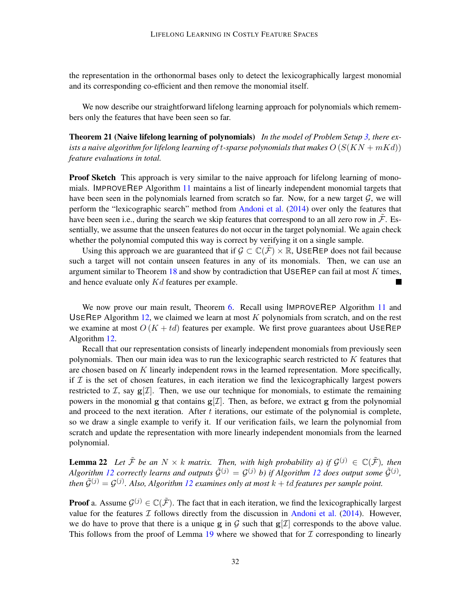the representation in the orthonormal bases only to detect the lexicographically largest monomial and its corresponding co-efficient and then remove the monomial itself.

We now describe our straightforward lifelong learning approach for polynomials which remembers only the features that have been seen so far.

<span id="page-31-0"></span>Theorem 21 (Naive lifelong learning of polynomials) *In the model of Problem Setup [3,](#page-30-1) there exists a naive algorithm for lifelong learning of* t*-sparse polynomials that makes* O (S(KN + mKd)) *feature evaluations in total.*

**Proof Sketch** This approach is very similar to the naive approach for lifelong learning of monomials. IMPROVEREP Algorithm [11](#page-32-0) maintains a list of linearly independent monomial targets that have been seen in the polynomials learned from scratch so far. Now, for a new target  $G$ , we will perform the "lexicographic search" method from [Andoni et al.](#page-12-1) [\(2014\)](#page-12-1) over only the features that have been seen i.e., during the search we skip features that correspond to an all zero row in  $\tilde{\mathcal{F}}$ . Essentially, we assume that the unseen features do not occur in the target polynomial. We again check whether the polynomial computed this way is correct by verifying it on a single sample.

Using this approach we are guaranteed that if  $\mathcal{G} \subset \mathbb{C}(\mathcal{F}) \times \mathbb{R}$ , USEREP does not fail because such a target will not contain unseen features in any of its monomials. Then, we can use an argument similar to Theorem [18](#page-27-0) and show by contradiction that USEREP can fail at most  $K$  times, and hence evaluate only Kd features per example.

We now prove our main result, Theorem [6.](#page-10-1) Recall using IMPROVEREP Algorithm [11](#page-32-0) and USEREP Algorithm [12,](#page-33-0) we claimed we learn at most  $K$  polynomials from scratch, and on the rest we examine at most  $O(K + td)$  features per example. We first prove guarantees about USEREP Algorithm [12.](#page-33-0)

Recall that our representation consists of linearly independent monomials from previously seen polynomials. Then our main idea was to run the lexicographic search restricted to  $K$  features that are chosen based on  $K$  linearly independent rows in the learned representation. More specifically, if  $I$  is the set of chosen features, in each iteration we find the lexicographically largest powers restricted to  $\mathcal{I}$ , say  $g[\mathcal{I}]$ . Then, we use our technique for monomials, to estimate the remaining powers in the monomial g that contains  $g[\mathcal{I}]$ . Then, as before, we extract g from the polynomial and proceed to the next iteration. After  $t$  iterations, our estimate of the polynomial is complete, so we draw a single example to verify it. If our verification fails, we learn the polynomial from scratch and update the representation with more linearly independent monomials from the learned polynomial.

<span id="page-31-1"></span>**Lemma 22** Let  $\tilde{\mathcal{F}}$  be an  $N \times k$  matrix. Then, with high probability a) if  $\mathcal{G}^{(j)} \in \mathbb{C}(\tilde{\mathcal{F}})$ , then *Algorithm [12](#page-33-0) correctly learns and outputs*  $\tilde{\mathcal{G}}^{(j)} = \mathcal{G}^{(j)}$  *b) if Algorithm 12 does output some*  $\tilde{\mathcal{G}}^{(j)}$ *, then*  $\tilde{\mathcal{G}}^{(j)} = \mathcal{G}^{(j)}$ . Also, Algorithm [12](#page-33-0) examines only at most  $k + td$  features per sample point.

**Proof** a. Assume  $\mathcal{G}^{(j)} \in \mathbb{C}(\tilde{\mathcal{F}})$ . The fact that in each iteration, we find the lexicographically largest value for the features  $\mathcal I$  follows directly from the discussion in [Andoni et al.](#page-12-1) [\(2014\)](#page-12-1). However, we do have to prove that there is a unique g in  $\mathcal G$  such that  $g[\mathcal I]$  corresponds to the above value. This follows from the proof of Lemma [19](#page-27-3) where we showed that for  $\mathcal I$  corresponding to linearly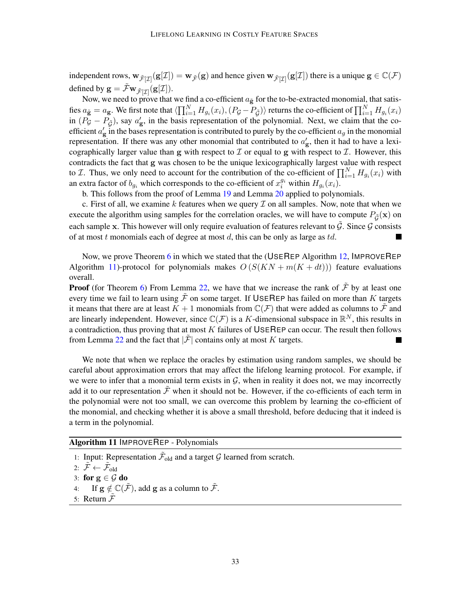independent rows,  $\mathbf{w}_{\tilde{\mathcal{F}}[\mathcal{I}]}(\mathbf{g}[\mathcal{I}]) = \mathbf{w}_{\tilde{\mathcal{F}}}(\mathbf{g})$  and hence given  $\mathbf{w}_{\tilde{\mathcal{F}}[\mathcal{I}]}(\mathbf{g}[\mathcal{I}])$  there is a unique  $\mathbf{g} \in \mathbb{C}(\mathcal{F})$ defined by  $\mathbf{g} = \tilde{\mathcal{F}} \mathbf{w}_{\tilde{\mathcal{F}}[\mathcal{I}]}(\mathbf{g}[\mathcal{I}]).$ 

Now, we need to prove that we find a co-efficient  $a_{\tilde{g}}$  for the to-be-extracted monomial, that satisfies  $a_{\tilde{\mathbf{g}}} = a_{\mathbf{g}}.$  We first note that  $\langle \prod_{i=1}^N H_{g_i}(x_i), (P_{\mathcal{G}} - P_{\tilde{\mathcal{G}}}) \rangle$  returns the co-efficient of  $\prod_{i=1}^N H_{g_i}(x_i)$ in  $(P_{\mathcal{G}} - P_{\tilde{\mathcal{G}}})$ , say  $a'_{\mathbf{g}}$ , in the basis representation of the polynomial. Next, we claim that the coefficient  $a'_g$  in the bases representation is contributed to purely by the co-efficient  $a_g$  in the monomial representation. If there was any other monomial that contributed to  $a'_{\bf g}$ , then it had to have a lexicographically larger value than g with respect to  $\mathcal I$  or equal to g with respect to  $\mathcal I$ . However, this contradicts the fact that g was chosen to be the unique lexicographically largest value with respect to *T*. Thus, we only need to account for the contribution of the co-efficient of  $\prod_{i=1}^{N} H_{g_i}(x_i)$  with an extra factor of  $b_{g_i}$  which corresponds to the co-efficient of  $x_i^{g_i}$  within  $H_{g_i}(x_i)$ .

b. This follows from the proof of Lemma [19](#page-27-3) and Lemma [20](#page-29-2) applied to polynomials.

c. First of all, we examine k features when we query  $\mathcal I$  on all samples. Now, note that when we execute the algorithm using samples for the correlation oracles, we will have to compute  $P_{\tilde{G}}(\mathbf{x})$  on each sample x. This however will only require evaluation of features relevant to  $\tilde{G}$ . Since  $\cal{G}$  consists of at most t monomials each of degree at most  $d$ , this can be only as large as  $td$ .

Now, we prove Theorem [6](#page-10-1) in which we stated that the (USEREP Algorithm [12,](#page-33-0) IMPROVEREP Algorithm [11\)](#page-32-0)-protocol for polynomials makes  $O(S(KN + m(K + dt)))$  feature evaluations overall.

**Proof** (for Theorem [6\)](#page-10-1) From Lemma [22,](#page-31-1) we have that we increase the rank of  $\tilde{\mathcal{F}}$  by at least one every time we fail to learn using  $\tilde{\mathcal{F}}$  on some target. If USEREP has failed on more than K targets it means that there are at least  $K + 1$  monomials from  $\mathbb{C}(\mathcal{F})$  that were added as columns to  $\tilde{\mathcal{F}}$  and are linearly independent. However, since  $\mathbb{C}(\mathcal{F})$  is a K-dimensional subspace in  $\mathbb{R}^N$ , this results in a contradiction, thus proving that at most K failures of USEREP can occur. The result then follows from Lemma [22](#page-31-1) and the fact that  $|\mathcal{F}|$  contains only at most K targets.

We note that when we replace the oracles by estimation using random samples, we should be careful about approximation errors that may affect the lifelong learning protocol. For example, if we were to infer that a monomial term exists in  $G$ , when in reality it does not, we may incorrectly add it to our representation  $\mathcal{F}$  when it should not be. However, if the co-efficients of each term in the polynomial were not too small, we can overcome this problem by learning the co-efficient of the monomial, and checking whether it is above a small threshold, before deducing that it indeed is a term in the polynomial.

<span id="page-32-0"></span>Algorithm 11 IMPROVEREP - Polynomials

1: Input: Representation  $\tilde{\mathcal{F}}_{old}$  and a target  $\mathcal G$  learned from scratch. 2:  $\tilde{\mathcal{F}} \leftarrow \tilde{\mathcal{F}}_{old}$ 3: for  $g \in \mathcal{G}$  do 4: If  $g \notin \mathbb{C}(\tilde{\mathcal{F}})$ , add g as a column to  $\tilde{\mathcal{F}}$ . 5: Return  $\overline{\mathcal{F}}$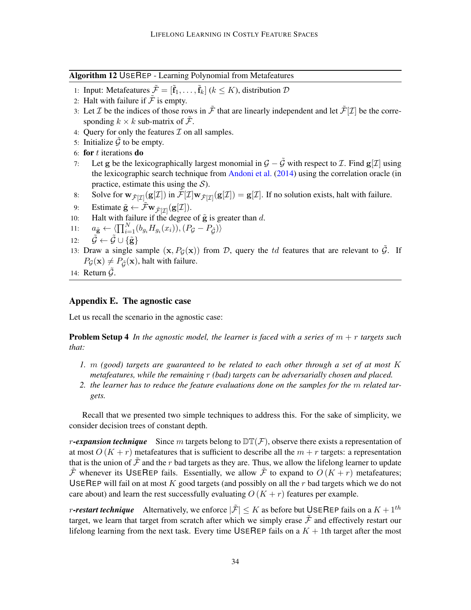<span id="page-33-0"></span>Algorithm 12 USEREP - Learning Polynomial from Metafeatures

- 1: Input: Metafeatures  $\tilde{\mathcal{F}} = [\tilde{\mathbf{f}}_1, \dots, \tilde{\mathbf{f}}_k]$  ( $k \leq K$ ), distribution  $\mathcal{D}$
- 2: Halt with failure if  $\mathcal{\tilde{F}}$  is empty.
- 3: Let  $\mathcal I$  be the indices of those rows in  $\tilde{\mathcal F}$  that are linearly independent and let  $\tilde{\mathcal F}[\mathcal I]$  be the corresponding  $k \times k$  sub-matrix of  $\overline{\mathcal{F}}$ .
- 4: Query for only the features  $\mathcal I$  on all samples.
- 5: Initialize  $\tilde{\mathcal{G}}$  to be empty.
- 6: for  $t$  iterations do
- 7: Let g be the lexicographically largest monomial in  $G \tilde{G}$  with respect to *I*. Find g[*I*] using the lexicographic search technique from [Andoni et al.](#page-12-1) [\(2014\)](#page-12-1) using the correlation oracle (in practice, estimate this using the  $S$ ).
- 8: Solve for  $\mathbf{w}_{\tilde{\mathcal{F}}[\mathcal{I}]}(\mathbf{g}[\mathcal{I}])$  in  $\tilde{\mathcal{F}}[\mathcal{I}]\mathbf{w}_{\tilde{\mathcal{F}}[\mathcal{I}]}(\mathbf{g}[\mathcal{I}]) = \mathbf{g}[\mathcal{I}].$  If no solution exists, halt with failure.
- 9: Estimate  $\tilde{\mathbf{g}} \leftarrow \tilde{\mathcal{F}} \mathbf{w}_{\tilde{\mathcal{F}}[\mathcal{I}]}(\mathbf{g}[\mathcal{I}]).$
- 10: Halt with failure if the degree of  $\tilde{g}$  is greater than d.
- 11:  $a_{\tilde{\mathbf{g}}} \leftarrow \langle \prod_{i=1}^N (b_{g_i} H_{g_i}(x_i)), (P_{\mathcal{G}} P_{\tilde{\mathcal{G}}}) \rangle$
- 12:  $\tilde{G} \leftarrow \tilde{G} \cup {\{\tilde{\mathbf{g}}\}}$
- 13: Draw a single sample  $(x, P_{\mathcal{G}}(x))$  from D, query the td features that are relevant to  $\tilde{\mathcal{G}}$ . If  $P_G(\mathbf{x}) \neq P_{\tilde{G}}(\mathbf{x})$ , halt with failure.
- 14: Return  $\ddot{G}$ .

## <span id="page-33-1"></span>Appendix E. The agnostic case

Let us recall the scenario in the agnostic case:

**Problem Setup 4** In the agnostic model, the learner is faced with a series of  $m + r$  targets such *that:*

- *1.* m *(good) targets are guaranteed to be related to each other through a set of at most* K *metafeatures, while the remaining* r *(bad) targets can be adversarially chosen and placed.*
- *2. the learner has to reduce the feature evaluations done on the samples for the* m *related targets.*

Recall that we presented two simple techniques to address this. For the sake of simplicity, we consider decision trees of constant depth.

*r*-expansion technique Since m targets belong to  $DT(\mathcal{F})$ , observe there exists a representation of at most  $O(K + r)$  metafeatures that is sufficient to describe all the  $m + r$  targets: a representation that is the union of  $\tilde{\mathcal{F}}$  and the r bad targets as they are. Thus, we allow the lifelong learner to update  $\mathcal F$  whenever its USEREP fails. Essentially, we allow  $\mathcal F$  to expand to  $O(K+r)$  metafeatures; USEREP will fail on at most  $K$  good targets (and possibly on all the  $r$  bad targets which we do not care about) and learn the rest successfully evaluating  $O(K + r)$  features per example.

*r*-restart technique Alternatively, we enforce  $|\tilde{\mathcal{F}}| \leq K$  as before but USEREP fails on a  $K + 1^{th}$ target, we learn that target from scratch after which we simply erase  $\tilde{\mathcal{F}}$  and effectively restart our lifelong learning from the next task. Every time USEREP fails on a  $K + 1$ th target after the most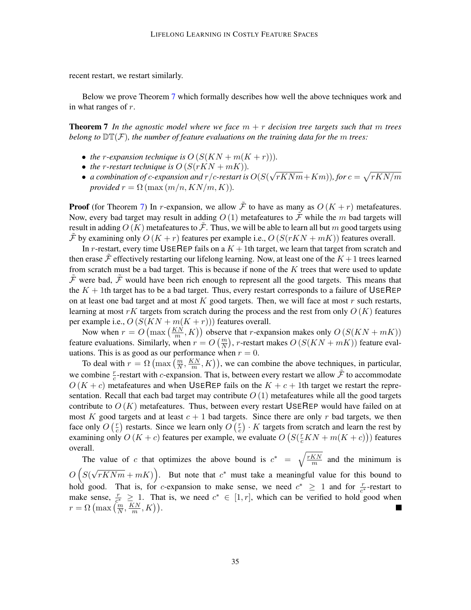recent restart, we restart similarly.

Below we prove Theorem [7](#page-11-1) which formally describes how well the above techniques work and in what ranges of r.

**Theorem 7** In the agnostic model where we face  $m + r$  decision tree targets such that m trees *belong to*  $\mathbb{D} \mathbb{T}(\mathcal{F})$ *, the number of feature evaluations on the training data for the m trees:* 

- *the r-expansion technique is*  $O(S(KN + m(K + r)))$ .
- *the r-restart technique is*  $O(S(rKN + mK))$ .
- *a combination of* c*-expansion and* r/c*-restart is* O(S( √  $\sqrt{rKNm}+Km$ )), for  $c=\sqrt{rKN/m}$ *provided*  $r = \Omega$  (max  $(m/n, KN/m, K)$ ).

**Proof** (for Theorem [7\)](#page-11-1) In r-expansion, we allow  $\tilde{\mathcal{F}}$  to have as many as  $O(K+r)$  metafeatures. Now, every bad target may result in adding  $O(1)$  metafeatures to  $\tilde{\mathcal{F}}$  while the m bad targets will result in adding  $O(K)$  metafeatures to  $\tilde{\mathcal{F}}$ . Thus, we will be able to learn all but m good targets using  $\mathcal F$  by examining only  $O(K + r)$  features per example i.e.,  $O(S(rKN + mK))$  features overall.

In r-restart, every time USEREP fails on a  $K + 1$ th target, we learn that target from scratch and then erase F effectively restarting our lifelong learning. Now, at least one of the  $K+1$  trees learned from scratch must be a bad target. This is because if none of the  $K$  trees that were used to update  $\tilde{\mathcal{F}}$  were bad,  $\tilde{\mathcal{F}}$  would have been rich enough to represent all the good targets. This means that the  $K + 1$ th target has to be a bad target. Thus, every restart corresponds to a failure of USEREP on at least one bad target and at most  $K$  good targets. Then, we will face at most  $r$  such restarts, learning at most rK targets from scratch during the process and the rest from only  $O(K)$  features per example i.e.,  $O(S(KN + m(K + r)))$  features overall.

Now when  $r = O(max\left(\frac{KN}{m}, K)\right)$  observe that r-expansion makes only  $O(S(KN + mK))$ feature evaluations. Similarly, when  $r = O(\frac{m}{N})$ , r-restart makes  $O(S(KN + mK))$  feature evaluations. This is as good as our performance when  $r = 0$ .

To deal with  $r = \Omega \left( \max \left( \frac{m}{N}, \frac{KN}{m} \right) \right)$  $\binom{KN}{m}, K$ ), we can combine the above techniques, in particular, we combine  $\frac{r}{c}$ -restart with c-expansion. That is, between every restart we allow  $\tilde{\mathcal{F}}$  to accommodate  $O(K + c)$  metafeatures and when USEREP fails on the  $K + c + 1$ th target we restart the representation. Recall that each bad target may contribute  $O(1)$  metafeatures while all the good targets contribute to  $O(K)$  metafeatures. Thus, between every restart USEREP would have failed on at most K good targets and at least  $c + 1$  bad targets. Since there are only r bad targets, we then face only  $O\left(\frac{r}{c}\right)$  $(\frac{r}{c})$  restarts. Since we learn only  $O\left(\frac{r}{c}\right)$  $\frac{r}{c}$ )  $\cdot$  K targets from scratch and learn the rest by examining only  $O(K + c)$  features per example, we evaluate  $O(S(\frac{r}{c}KN + m(K + c)))$  features overall.

The value of c that optimizes the above bound is  $c^* = \sqrt{\frac{rKN}{m}}$  $\frac{KN}{m}$  and the minimum is  $O(S($ √  $\sqrt{rKNm} + mK$ ). But note that  $c^*$  must take a meaningful value for this bound to hold good. That is, for c-expansion to make sense, we need  $c^* \geq 1$  and for  $\frac{r}{c^*}$ -restart to make sense,  $\frac{r}{c^*} \geq 1$ . That is, we need  $c^* \in [1, r]$ , which can be verified to hold good when  $r = \Omega\left(\max\left(\frac{m}{N}, \frac{KN}{m}\right)\right)$  $\frac{\zeta N}{m}, K$ ).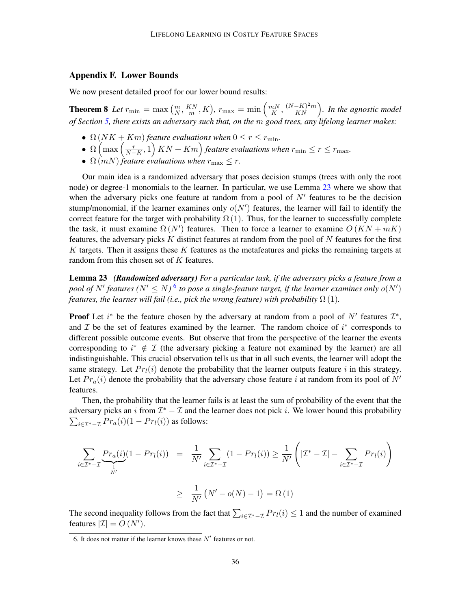# <span id="page-35-0"></span>Appendix F. Lower Bounds

We now present detailed proof for our lower bound results:

**Theorem 8** Let  $r_{\min} = \max\left(\frac{m}{N}, \frac{KN}{m}\right)$  $\frac{KN}{m}, K$ ),  $r_{\text{max}} = \min \left( \frac{mN}{K} \right)$  $\frac{nN}{K}, \frac{(N-K)^2m}{KN}$ ). In the agnostic model *of Section [5,](#page-10-0) there exists an adversary such that, on the* m *good trees, any lifelong learner makes:*

- $\Omega(NK+Km)$  *feature evaluations when*  $0 \le r \le r_{\min}$ *.*
- $\Omega\left(\max\left(\frac{r}{N-K},1\right)KN+Km\right)$  feature evaluations when  $r_{\min} \leq r \leq r_{\max}$ .
- $\Omega(mN)$  *feature evaluations when*  $r_{\text{max}} \leq r$ .

Our main idea is a randomized adversary that poses decision stumps (trees with only the root node) or degree-1 monomials to the learner. In particular, we use Lemma [23](#page-35-1) where we show that when the adversary picks one feature at random from a pool of  $N'$  features to be the decision stump/monomial, if the learner examines only  $o(N')$  features, the learner will fail to identify the correct feature for the target with probability  $\Omega(1)$ . Thus, for the learner to successfully complete the task, it must examine  $\Omega(N')$  features. Then to force a learner to examine  $O(KN + mK)$ features, the adversary picks K distinct features at random from the pool of  $N$  features for the first K targets. Then it assigns these  $K$  features as the metafeatures and picks the remaining targets at random from this chosen set of K features.

<span id="page-35-1"></span>Lemma 23 *(Randomized adversary) For a particular task, if the adversary picks a feature from a* pool of  $N'$  features ( $N' \leq N$ )  $\frac{6}{3}$  $\frac{6}{3}$  $\frac{6}{3}$  to pose a single-feature target, if the learner examines only  $o(N')$ *features, the learner will fail (i.e., pick the wrong feature) with probability*  $\Omega$  (1).

**Proof** Let  $i^*$  be the feature chosen by the adversary at random from a pool of  $N'$  features  $\mathcal{I}^*$ , and  $\mathcal I$  be the set of features examined by the learner. The random choice of  $i^*$  corresponds to different possible outcome events. But observe that from the perspective of the learner the events corresponding to  $i^* \notin \mathcal{I}$  (the adversary picking a feature not examined by the learner) are all indistinguishable. This crucial observation tells us that in all such events, the learner will adopt the same strategy. Let  $Pr_l(i)$  denote the probability that the learner outputs feature i in this strategy. Let  $Pr_a(i)$  denote the probability that the adversary chose feature i at random from its pool of N' features.

Then, the probability that the learner fails is at least the sum of probability of the event that the adversary picks an i from  $\mathcal{I}^* - \mathcal{I}$  and the learner does not pick i. We lower bound this probability  $\sum_{i \in \mathcal{I}^* - \mathcal{I}} Pr_a(i) (1 - Pr_l(i))$  as follows:

$$
\sum_{i \in \mathcal{I}^* - \mathcal{I}} \underbrace{Pr_a(i)}_{\frac{1}{N'}} (1 - Pr_l(i)) = \frac{1}{N'} \sum_{i \in \mathcal{I}^* - \mathcal{I}} (1 - Pr_l(i)) \ge \frac{1}{N'} \left( |\mathcal{I}^* - \mathcal{I}| - \sum_{i \in \mathcal{I}^* - \mathcal{I}} Pr_l(i) \right)
$$
\n
$$
\ge \frac{1}{N'} \left( N' - o(N) - 1 \right) = \Omega \left( 1 \right)
$$

The second inequality follows from the fact that  $\sum_{i\in\mathcal{I}^*-\mathcal{I}}Pr_l(i)\leq 1$  and the number of examined features  $|\mathcal{I}| = O(N')$ .

<span id="page-35-2"></span><sup>6.</sup> It does not matter if the learner knows these  $N'$  features or not.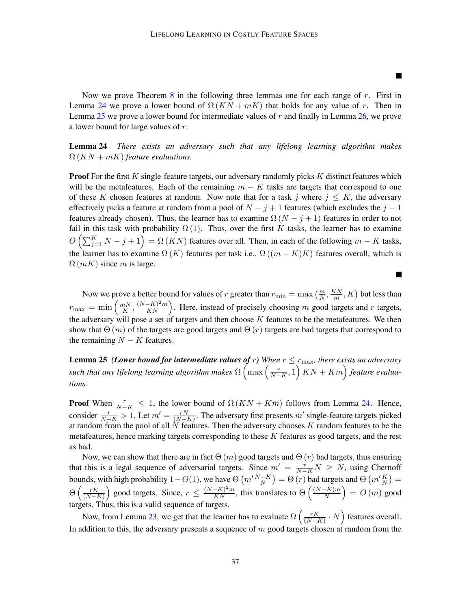L.

 $\blacksquare$ 

Now we prove Theorem [8](#page-11-2) in the following three lemmas one for each range of  $r$ . First in Lemma [24](#page-36-0) we prove a lower bound of  $\Omega(KN + mK)$  that holds for any value of r. Then in Lemma [25](#page-36-1) we prove a lower bound for intermediate values of  $r$  and finally in Lemma [26,](#page-37-1) we prove a lower bound for large values of r.

<span id="page-36-0"></span>Lemma 24 *There exists an adversary such that any lifelong learning algorithm makes*  $\Omega(KN + mK)$  *feature evaluations.* 

**Proof** For the first K single-feature targets, our adversary randomly picks K distinct features which will be the metafeatures. Each of the remaining  $m - K$  tasks are targets that correspond to one of these K chosen features at random. Now note that for a task j where  $j \leq K$ , the adversary effectively picks a feature at random from a pool of  $N - j + 1$  features (which excludes the  $j - 1$ features already chosen). Thus, the learner has to examine  $\Omega (N - j + 1)$  features in order to not fail in this task with probability  $\Omega(1)$ . Thus, over the first K tasks, the learner has to examine  $O\left(\sum_{j=1}^K N - j + 1\right) = \Omega(KN)$  features over all. Then, in each of the following  $m - K$  tasks, the learner has to examine  $\Omega(K)$  features per task i.e.,  $\Omega((m - K)K)$  features overall, which is  $\Omega(mK)$  since m is large.

Now we prove a better bound for values of r greater than  $r_{\min} = \max\left(\frac{m}{N}, \frac{KN}{m}\right)$  $\frac{\zeta N}{m}, K$  ) but less than  $r_{\max} = \min\left(\frac{mN}{K}\right)$  $\frac{nN}{K}, \frac{(N-K)^2m}{KN}$ . Here, instead of precisely choosing m good targets and r targets, the adversary will pose a set of targets and then choose  $K$  features to be the metafeatures. We then show that  $\Theta(m)$  of the targets are good targets and  $\Theta(r)$  targets are bad targets that correspond to the remaining  $N - K$  features.

<span id="page-36-1"></span>**Lemma 25** *(Lower bound for intermediate values of r) When*  $r \leq r_{\text{max}}$ *, there exists an adversary* such that any lifelong learning algorithm makes  $\Omega\left(\max\left(\frac{r}{N-K},1\right) KN+Km\right)$  feature evalua*tions.*

**Proof** When  $\frac{r}{N-K} \leq 1$ , the lower bound of  $\Omega(KN + Km)$  follows from Lemma [24.](#page-36-0) Hence, consider  $\frac{r}{N-K} > 1$ . Let  $m' = \frac{rN}{(N-r)}$  $\frac{rN}{(N-K)}$ . The adversary first presents m' single-feature targets picked at random from the pool of all  $N$  features. Then the adversary chooses  $K$  random features to be the metafeatures, hence marking targets corresponding to these  $K$  features as good targets, and the rest as bad.

Now, we can show that there are in fact  $\Theta(m)$  good targets and  $\Theta(r)$  bad targets, thus ensuring that this is a legal sequence of adversarial targets. Since  $m' = \frac{r}{N-K} N \ge N$ , using Chernoff bounds, with high probability  $1-O(1)$ , we have  $\Theta(m'\frac{N-K}{N}) = \Theta(r)$  bad targets and  $\Theta(m'\frac{K}{N}) =$  $\Theta\left(\frac{rK}{(N-1)}\right)$  $\left(\frac{rK}{(N-K)}\right)$  good targets. Since,  $r \leq \frac{(N-K)^2m}{KN}$ , this translates to  $\Theta\left(\frac{(N-K)m}{N}\right)$  $\left(\frac{1}{N} \right)^{m}$  =  $O(m)$  good targets. Thus, this is a valid sequence of targets.

Now, from Lemma [23,](#page-35-1) we get that the learner has to evaluate  $\Omega\left(\frac{rK}{(N-r)^2}\right)$  $\frac{rK}{(N-K)} \cdot N$  features overall. In addition to this, the adversary presents a sequence of  $m$  good targets chosen at random from the